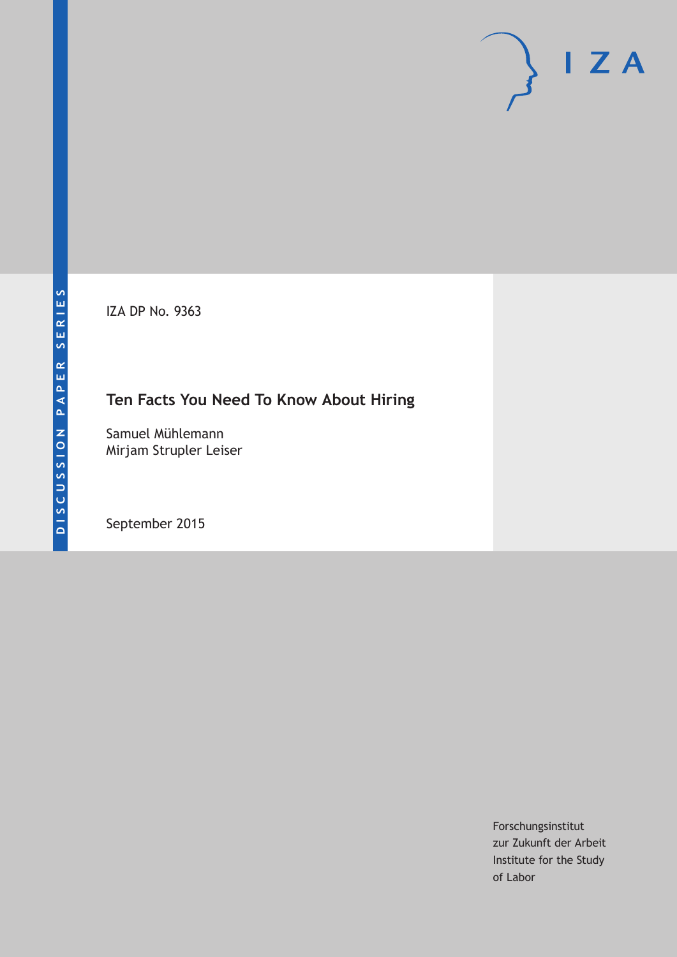IZA DP No. 9363

## **Ten Facts You Need To Know About Hiring**

Samuel Mühlemann Mirjam Strupler Leiser

September 2015

Forschungsinstitut zur Zukunft der Arbeit Institute for the Study of Labor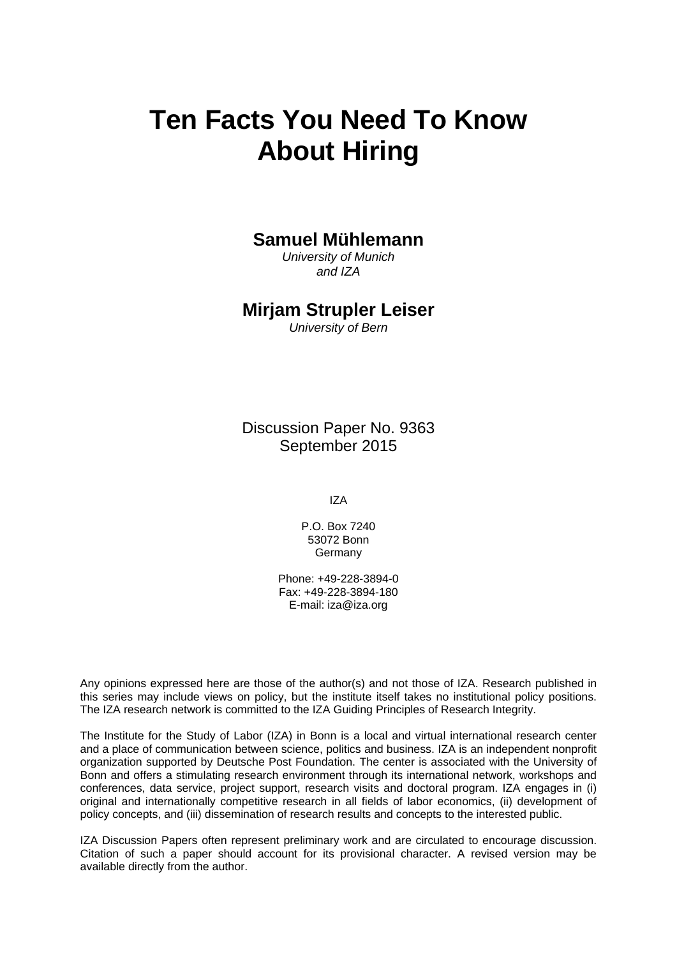# **Ten Facts You Need To Know About Hiring**

## **Samuel Mühlemann**

*University of Munich and IZA* 

## **Mirjam Strupler Leiser**

*University of Bern* 

Discussion Paper No. 9363 September 2015

IZA

P.O. Box 7240 53072 Bonn **Germany** 

Phone: +49-228-3894-0 Fax: +49-228-3894-180 E-mail: iza@iza.org

Any opinions expressed here are those of the author(s) and not those of IZA. Research published in this series may include views on policy, but the institute itself takes no institutional policy positions. The IZA research network is committed to the IZA Guiding Principles of Research Integrity.

The Institute for the Study of Labor (IZA) in Bonn is a local and virtual international research center and a place of communication between science, politics and business. IZA is an independent nonprofit organization supported by Deutsche Post Foundation. The center is associated with the University of Bonn and offers a stimulating research environment through its international network, workshops and conferences, data service, project support, research visits and doctoral program. IZA engages in (i) original and internationally competitive research in all fields of labor economics, (ii) development of policy concepts, and (iii) dissemination of research results and concepts to the interested public.

IZA Discussion Papers often represent preliminary work and are circulated to encourage discussion. Citation of such a paper should account for its provisional character. A revised version may be available directly from the author.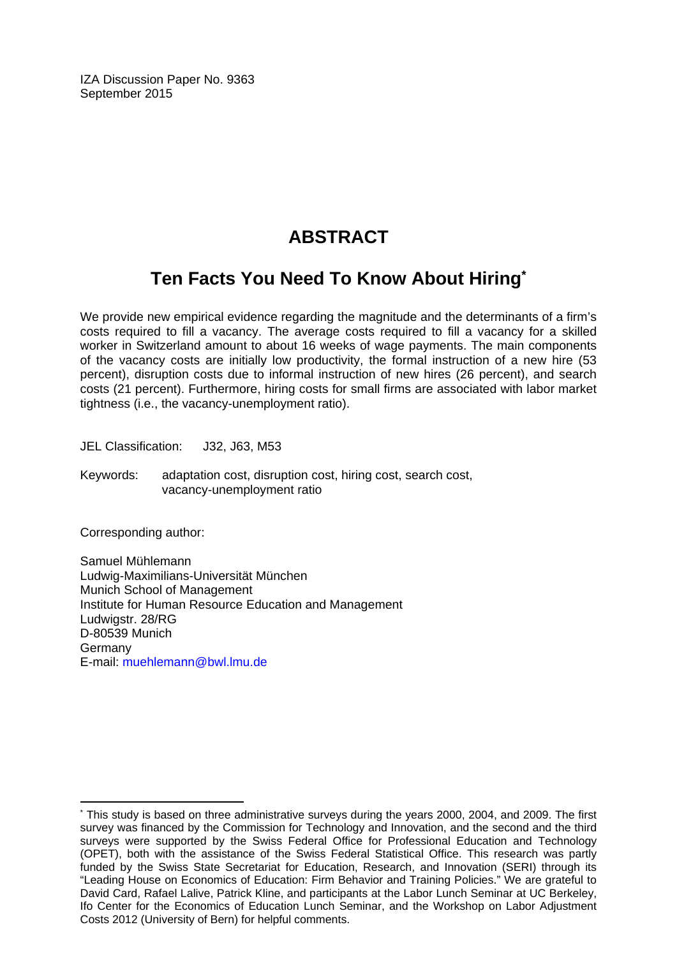IZA Discussion Paper No. 9363 September 2015

## **ABSTRACT**

## **Ten Facts You Need To Know About Hiring\***

We provide new empirical evidence regarding the magnitude and the determinants of a firm's costs required to fill a vacancy. The average costs required to fill a vacancy for a skilled worker in Switzerland amount to about 16 weeks of wage payments. The main components of the vacancy costs are initially low productivity, the formal instruction of a new hire (53 percent), disruption costs due to informal instruction of new hires (26 percent), and search costs (21 percent). Furthermore, hiring costs for small firms are associated with labor market tightness (i.e., the vacancy-unemployment ratio).

JEL Classification: J32, J63, M53

Keywords: adaptation cost, disruption cost, hiring cost, search cost, vacancy-unemployment ratio

Corresponding author:

 $\overline{a}$ 

Samuel Mühlemann Ludwig-Maximilians-Universität München Munich School of Management Institute for Human Resource Education and Management Ludwigstr. 28/RG D-80539 Munich Germany E-mail: muehlemann@bwl.lmu.de

<sup>\*</sup> This study is based on three administrative surveys during the years 2000, 2004, and 2009. The first survey was financed by the Commission for Technology and Innovation, and the second and the third surveys were supported by the Swiss Federal Office for Professional Education and Technology (OPET), both with the assistance of the Swiss Federal Statistical Office. This research was partly funded by the Swiss State Secretariat for Education, Research, and Innovation (SERI) through its "Leading House on Economics of Education: Firm Behavior and Training Policies." We are grateful to David Card, Rafael Lalive, Patrick Kline, and participants at the Labor Lunch Seminar at UC Berkeley, Ifo Center for the Economics of Education Lunch Seminar, and the Workshop on Labor Adjustment Costs 2012 (University of Bern) for helpful comments.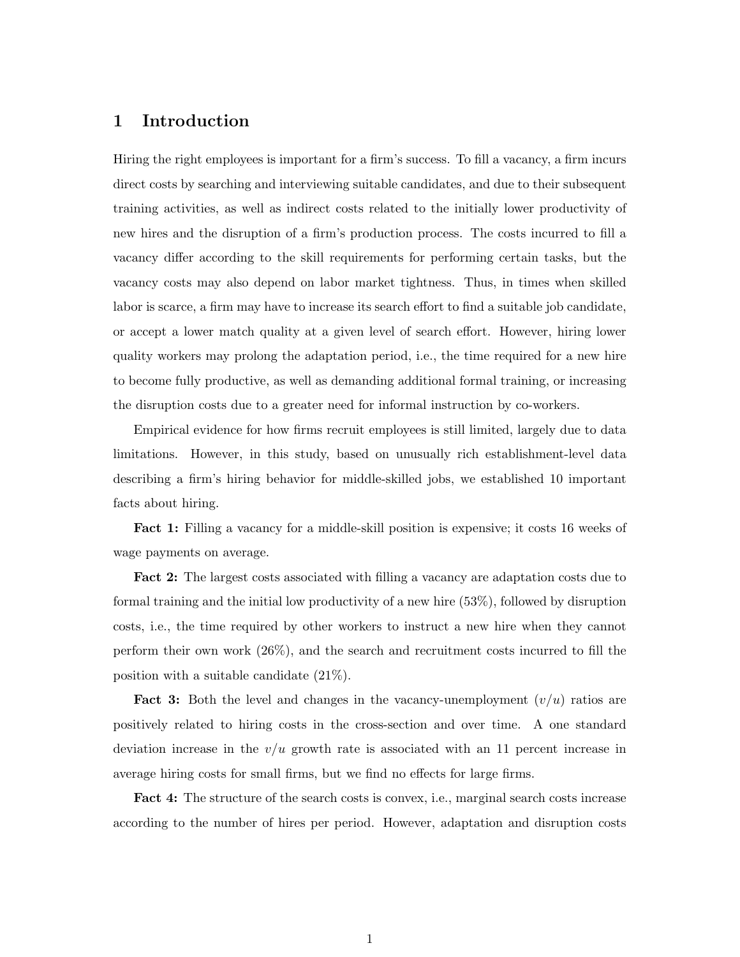### **1 Introduction**

Hiring the right employees is important for a firm's success. To fill a vacancy, a firm incurs direct costs by searching and interviewing suitable candidates, and due to their subsequent training activities, as well as indirect costs related to the initially lower productivity of new hires and the disruption of a firm's production process. The costs incurred to fill a vacancy differ according to the skill requirements for performing certain tasks, but the vacancy costs may also depend on labor market tightness. Thus, in times when skilled labor is scarce, a firm may have to increase its search effort to find a suitable job candidate, or accept a lower match quality at a given level of search effort. However, hiring lower quality workers may prolong the adaptation period, i.e., the time required for a new hire to become fully productive, as well as demanding additional formal training, or increasing the disruption costs due to a greater need for informal instruction by co-workers.

Empirical evidence for how firms recruit employees is still limited, largely due to data limitations. However, in this study, based on unusually rich establishment-level data describing a firm's hiring behavior for middle-skilled jobs, we established 10 important facts about hiring.

**Fact 1:** Filling a vacancy for a middle-skill position is expensive; it costs 16 weeks of wage payments on average.

**Fact 2:** The largest costs associated with filling a vacancy are adaptation costs due to formal training and the initial low productivity of a new hire (53%), followed by disruption costs, i.e., the time required by other workers to instruct a new hire when they cannot perform their own work (26%), and the search and recruitment costs incurred to fill the position with a suitable candidate (21%).

**Fact 3:** Both the level and changes in the vacancy-unemployment (*v/u*) ratios are positively related to hiring costs in the cross-section and over time. A one standard deviation increase in the  $v/u$  growth rate is associated with an 11 percent increase in average hiring costs for small firms, but we find no effects for large firms.

**Fact 4:** The structure of the search costs is convex, i.e., marginal search costs increase according to the number of hires per period. However, adaptation and disruption costs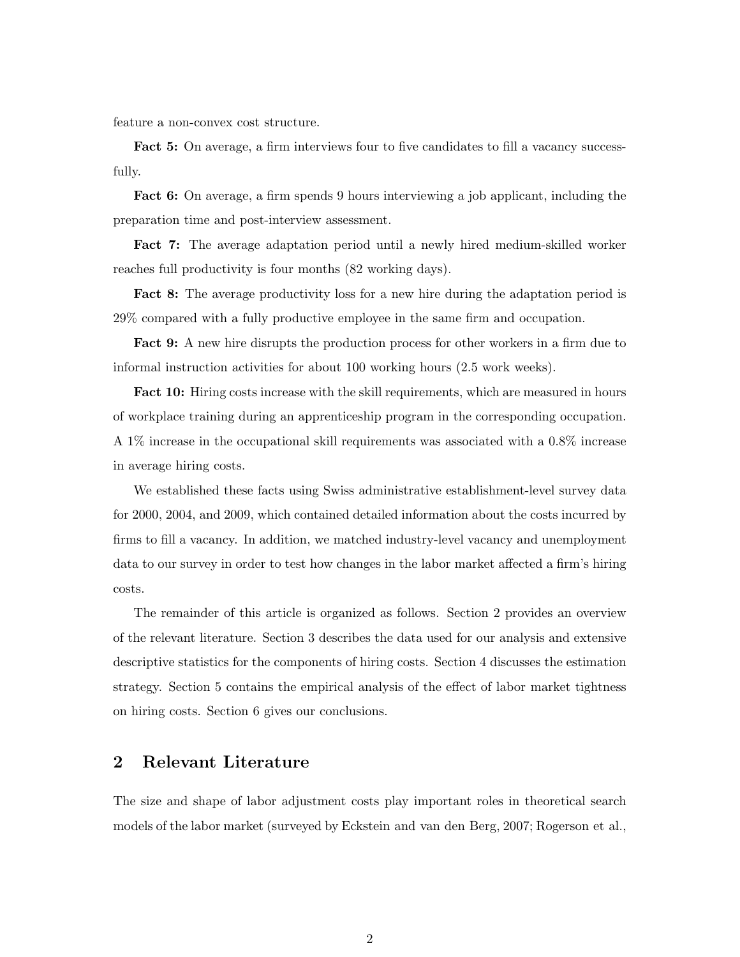feature a non-convex cost structure.

**Fact 5:** On average, a firm interviews four to five candidates to fill a vacancy successfully.

**Fact 6:** On average, a firm spends 9 hours interviewing a job applicant, including the preparation time and post-interview assessment.

**Fact 7:** The average adaptation period until a newly hired medium-skilled worker reaches full productivity is four months (82 working days).

**Fact 8:** The average productivity loss for a new hire during the adaptation period is 29% compared with a fully productive employee in the same firm and occupation.

**Fact 9:** A new hire disrupts the production process for other workers in a firm due to informal instruction activities for about 100 working hours (2.5 work weeks).

**Fact 10:** Hiring costs increase with the skill requirements, which are measured in hours of workplace training during an apprenticeship program in the corresponding occupation. A 1% increase in the occupational skill requirements was associated with a 0.8% increase in average hiring costs.

We established these facts using Swiss administrative establishment-level survey data for 2000, 2004, and 2009, which contained detailed information about the costs incurred by firms to fill a vacancy. In addition, we matched industry-level vacancy and unemployment data to our survey in order to test how changes in the labor market affected a firm's hiring costs.

The remainder of this article is organized as follows. Section 2 provides an overview of the relevant literature. Section 3 describes the data used for our analysis and extensive descriptive statistics for the components of hiring costs. Section 4 discusses the estimation strategy. Section 5 contains the empirical analysis of the effect of labor market tightness on hiring costs. Section 6 gives our conclusions.

### **2 Relevant Literature**

The size and shape of labor adjustment costs play important roles in theoretical search models of the labor market (surveyed by Eckstein and van den Berg, 2007; Rogerson et al.,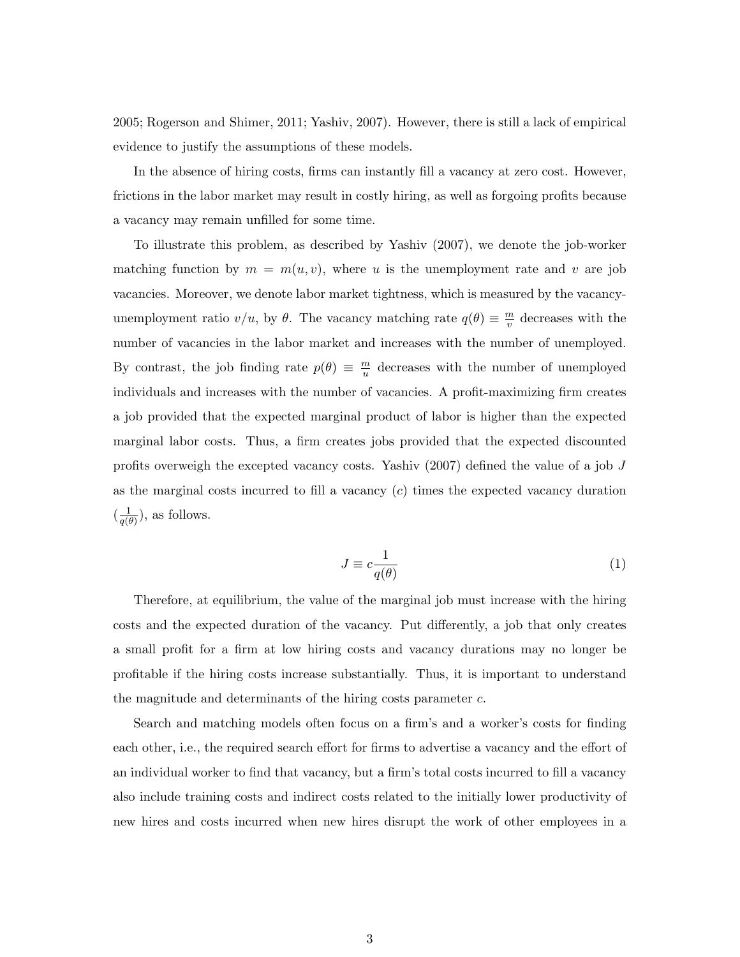2005; Rogerson and Shimer, 2011; Yashiv, 2007). However, there is still a lack of empirical evidence to justify the assumptions of these models.

In the absence of hiring costs, firms can instantly fill a vacancy at zero cost. However, frictions in the labor market may result in costly hiring, as well as forgoing profits because a vacancy may remain unfilled for some time.

To illustrate this problem, as described by Yashiv (2007), we denote the job-worker matching function by  $m = m(u, v)$ , where *u* is the unemployment rate and *v* are job vacancies. Moreover, we denote labor market tightness, which is measured by the vacancyunemployment ratio  $v/u$ , by  $\theta$ . The vacancy matching rate  $q(\theta) \equiv \frac{m}{v}$  $\frac{m}{v}$  decreases with the number of vacancies in the labor market and increases with the number of unemployed. By contrast, the job finding rate  $p(\theta) \equiv \frac{m}{u}$  $\frac{m}{u}$  decreases with the number of unemployed individuals and increases with the number of vacancies. A profit-maximizing firm creates a job provided that the expected marginal product of labor is higher than the expected marginal labor costs. Thus, a firm creates jobs provided that the expected discounted profits overweigh the excepted vacancy costs. Yashiv (2007) defined the value of a job *J* as the marginal costs incurred to fill a vacancy (*c*) times the expected vacancy duration  $\left(\frac{1}{a(t)}\right)$  $\frac{1}{q(\theta)}$ ), as follows.

$$
J \equiv c \frac{1}{q(\theta)}\tag{1}
$$

Therefore, at equilibrium, the value of the marginal job must increase with the hiring costs and the expected duration of the vacancy. Put differently, a job that only creates a small profit for a firm at low hiring costs and vacancy durations may no longer be profitable if the hiring costs increase substantially. Thus, it is important to understand the magnitude and determinants of the hiring costs parameter *c*.

Search and matching models often focus on a firm's and a worker's costs for finding each other, i.e., the required search effort for firms to advertise a vacancy and the effort of an individual worker to find that vacancy, but a firm's total costs incurred to fill a vacancy also include training costs and indirect costs related to the initially lower productivity of new hires and costs incurred when new hires disrupt the work of other employees in a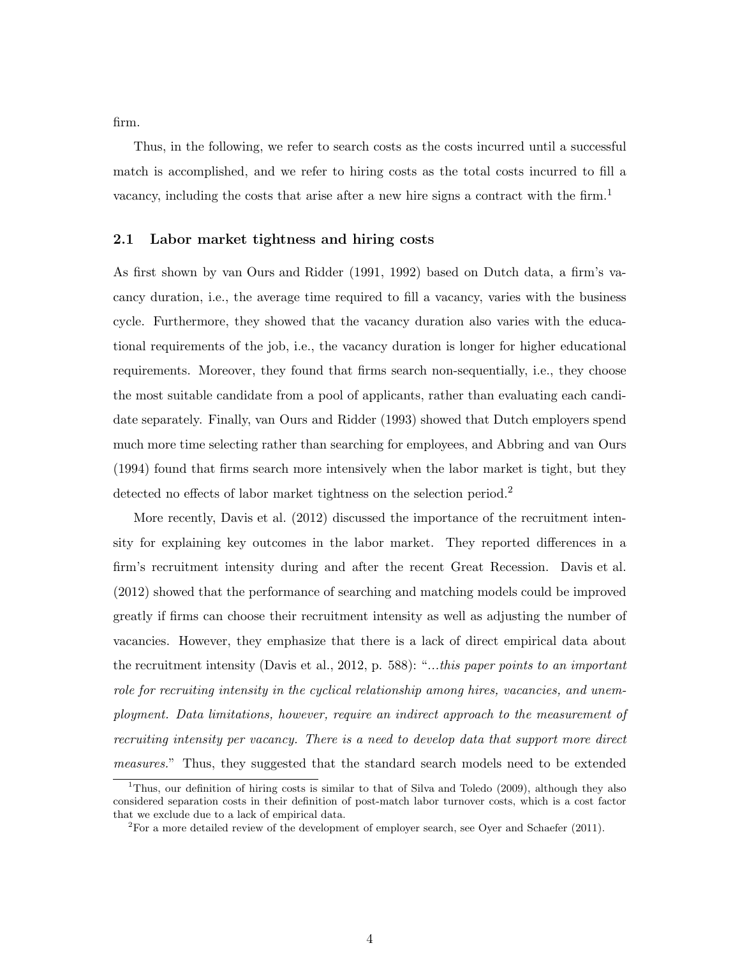firm.

Thus, in the following, we refer to search costs as the costs incurred until a successful match is accomplished, and we refer to hiring costs as the total costs incurred to fill a vacancy, including the costs that arise after a new hire signs a contract with the firm.<sup>1</sup>

#### **2.1 Labor market tightness and hiring costs**

As first shown by van Ours and Ridder (1991, 1992) based on Dutch data, a firm's vacancy duration, i.e., the average time required to fill a vacancy, varies with the business cycle. Furthermore, they showed that the vacancy duration also varies with the educational requirements of the job, i.e., the vacancy duration is longer for higher educational requirements. Moreover, they found that firms search non-sequentially, i.e., they choose the most suitable candidate from a pool of applicants, rather than evaluating each candidate separately. Finally, van Ours and Ridder (1993) showed that Dutch employers spend much more time selecting rather than searching for employees, and Abbring and van Ours (1994) found that firms search more intensively when the labor market is tight, but they detected no effects of labor market tightness on the selection period.<sup>2</sup>

More recently, Davis et al. (2012) discussed the importance of the recruitment intensity for explaining key outcomes in the labor market. They reported differences in a firm's recruitment intensity during and after the recent Great Recession. Davis et al. (2012) showed that the performance of searching and matching models could be improved greatly if firms can choose their recruitment intensity as well as adjusting the number of vacancies. However, they emphasize that there is a lack of direct empirical data about the recruitment intensity (Davis et al., 2012, p. 588): "*...this paper points to an important role for recruiting intensity in the cyclical relationship among hires, vacancies, and unemployment. Data limitations, however, require an indirect approach to the measurement of recruiting intensity per vacancy. There is a need to develop data that support more direct measures.*" Thus, they suggested that the standard search models need to be extended

<sup>&</sup>lt;sup>1</sup>Thus, our definition of hiring costs is similar to that of Silva and Toledo (2009), although they also considered separation costs in their definition of post-match labor turnover costs, which is a cost factor that we exclude due to a lack of empirical data.

 ${}^{2}$ For a more detailed review of the development of employer search, see Oyer and Schaefer (2011).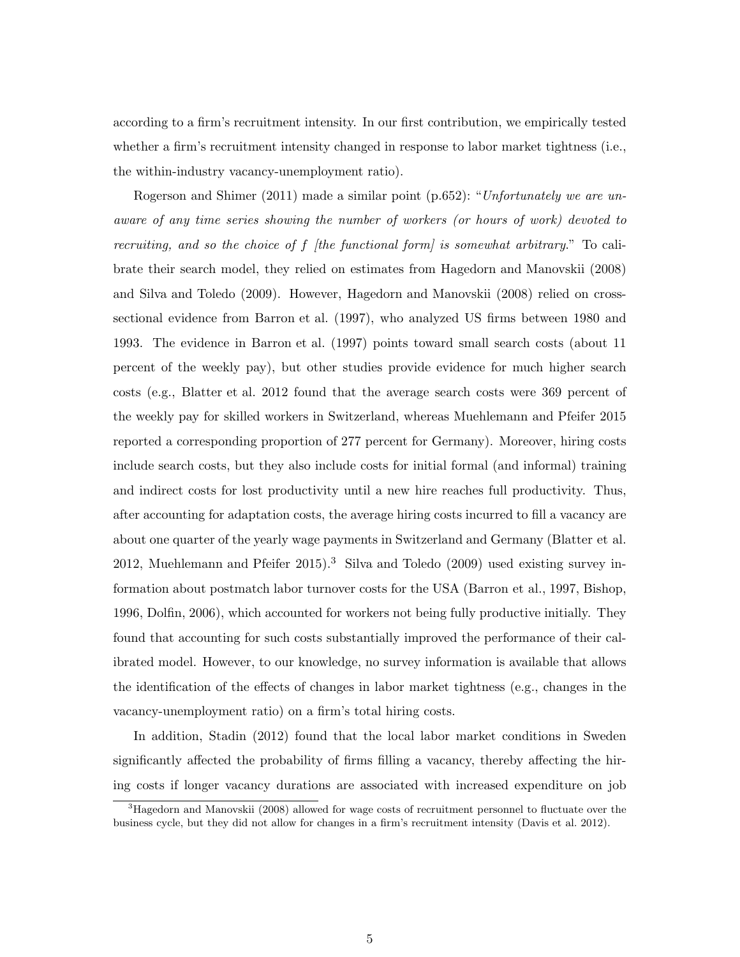according to a firm's recruitment intensity. In our first contribution, we empirically tested whether a firm's recruitment intensity changed in response to labor market tightness (i.e., the within-industry vacancy-unemployment ratio).

Rogerson and Shimer (2011) made a similar point (p.652): "*Unfortunately we are unaware of any time series showing the number of workers (or hours of work) devoted to recruiting, and so the choice of f [the functional form] is somewhat arbitrary*." To calibrate their search model, they relied on estimates from Hagedorn and Manovskii (2008) and Silva and Toledo (2009). However, Hagedorn and Manovskii (2008) relied on crosssectional evidence from Barron et al. (1997), who analyzed US firms between 1980 and 1993. The evidence in Barron et al. (1997) points toward small search costs (about 11 percent of the weekly pay), but other studies provide evidence for much higher search costs (e.g., Blatter et al. 2012 found that the average search costs were 369 percent of the weekly pay for skilled workers in Switzerland, whereas Muehlemann and Pfeifer 2015 reported a corresponding proportion of 277 percent for Germany). Moreover, hiring costs include search costs, but they also include costs for initial formal (and informal) training and indirect costs for lost productivity until a new hire reaches full productivity. Thus, after accounting for adaptation costs, the average hiring costs incurred to fill a vacancy are about one quarter of the yearly wage payments in Switzerland and Germany (Blatter et al. 2012, Muehlemann and Pfeifer  $2015$ .<sup>3</sup> Silva and Toledo  $(2009)$  used existing survey information about postmatch labor turnover costs for the USA (Barron et al., 1997, Bishop, 1996, Dolfin, 2006), which accounted for workers not being fully productive initially. They found that accounting for such costs substantially improved the performance of their calibrated model. However, to our knowledge, no survey information is available that allows the identification of the effects of changes in labor market tightness (e.g., changes in the vacancy-unemployment ratio) on a firm's total hiring costs.

In addition, Stadin (2012) found that the local labor market conditions in Sweden significantly affected the probability of firms filling a vacancy, thereby affecting the hiring costs if longer vacancy durations are associated with increased expenditure on job

<sup>&</sup>lt;sup>3</sup>Hagedorn and Manovskii (2008) allowed for wage costs of recruitment personnel to fluctuate over the business cycle, but they did not allow for changes in a firm's recruitment intensity (Davis et al. 2012).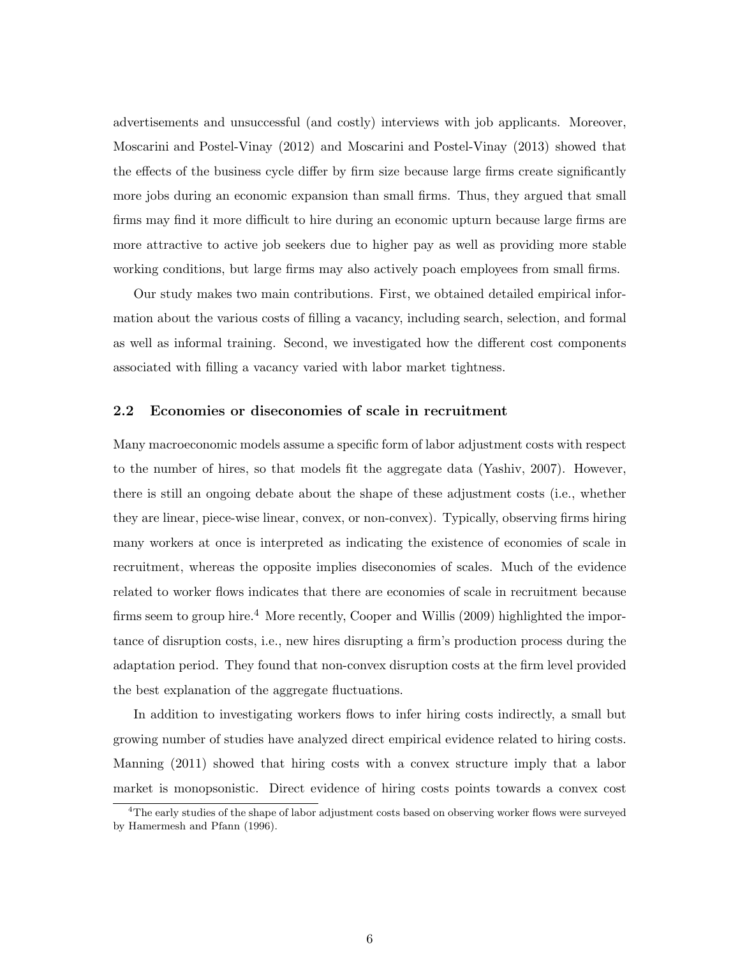advertisements and unsuccessful (and costly) interviews with job applicants. Moreover, Moscarini and Postel-Vinay (2012) and Moscarini and Postel-Vinay (2013) showed that the effects of the business cycle differ by firm size because large firms create significantly more jobs during an economic expansion than small firms. Thus, they argued that small firms may find it more difficult to hire during an economic upturn because large firms are more attractive to active job seekers due to higher pay as well as providing more stable working conditions, but large firms may also actively poach employees from small firms.

Our study makes two main contributions. First, we obtained detailed empirical information about the various costs of filling a vacancy, including search, selection, and formal as well as informal training. Second, we investigated how the different cost components associated with filling a vacancy varied with labor market tightness.

#### **2.2 Economies or diseconomies of scale in recruitment**

Many macroeconomic models assume a specific form of labor adjustment costs with respect to the number of hires, so that models fit the aggregate data (Yashiv, 2007). However, there is still an ongoing debate about the shape of these adjustment costs (i.e., whether they are linear, piece-wise linear, convex, or non-convex). Typically, observing firms hiring many workers at once is interpreted as indicating the existence of economies of scale in recruitment, whereas the opposite implies diseconomies of scales. Much of the evidence related to worker flows indicates that there are economies of scale in recruitment because firms seem to group hire.<sup>4</sup> More recently, Cooper and Willis (2009) highlighted the importance of disruption costs, i.e., new hires disrupting a firm's production process during the adaptation period. They found that non-convex disruption costs at the firm level provided the best explanation of the aggregate fluctuations.

In addition to investigating workers flows to infer hiring costs indirectly, a small but growing number of studies have analyzed direct empirical evidence related to hiring costs. Manning (2011) showed that hiring costs with a convex structure imply that a labor market is monopsonistic. Direct evidence of hiring costs points towards a convex cost

<sup>&</sup>lt;sup>4</sup>The early studies of the shape of labor adjustment costs based on observing worker flows were surveyed by Hamermesh and Pfann (1996).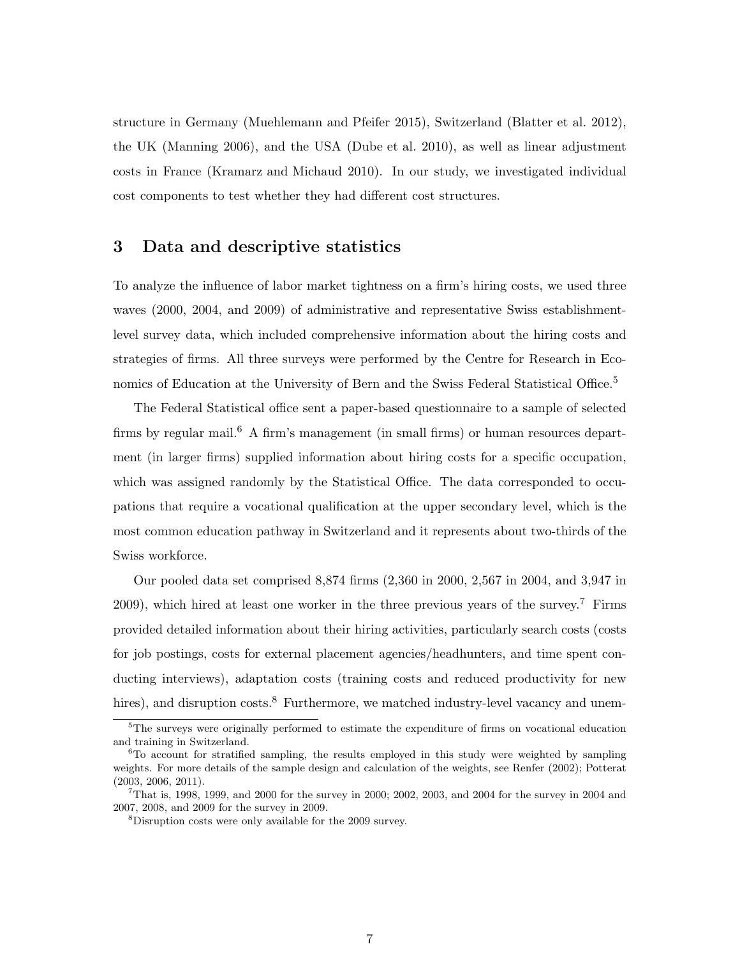structure in Germany (Muehlemann and Pfeifer 2015), Switzerland (Blatter et al. 2012), the UK (Manning 2006), and the USA (Dube et al. 2010), as well as linear adjustment costs in France (Kramarz and Michaud 2010). In our study, we investigated individual cost components to test whether they had different cost structures.

## **3 Data and descriptive statistics**

To analyze the influence of labor market tightness on a firm's hiring costs, we used three waves (2000, 2004, and 2009) of administrative and representative Swiss establishmentlevel survey data, which included comprehensive information about the hiring costs and strategies of firms. All three surveys were performed by the Centre for Research in Economics of Education at the University of Bern and the Swiss Federal Statistical Office.<sup>5</sup>

The Federal Statistical office sent a paper-based questionnaire to a sample of selected firms by regular mail.<sup>6</sup> A firm's management (in small firms) or human resources department (in larger firms) supplied information about hiring costs for a specific occupation, which was assigned randomly by the Statistical Office. The data corresponded to occupations that require a vocational qualification at the upper secondary level, which is the most common education pathway in Switzerland and it represents about two-thirds of the Swiss workforce.

Our pooled data set comprised 8,874 firms (2,360 in 2000, 2,567 in 2004, and 3,947 in 2009), which hired at least one worker in the three previous years of the survey.<sup>7</sup> Firms provided detailed information about their hiring activities, particularly search costs (costs for job postings, costs for external placement agencies/headhunters, and time spent conducting interviews), adaptation costs (training costs and reduced productivity for new hires), and disruption costs.<sup>8</sup> Furthermore, we matched industry-level vacancy and unem-

<sup>&</sup>lt;sup>5</sup>The surveys were originally performed to estimate the expenditure of firms on vocational education and training in Switzerland.

 ${}^{6}$ To account for stratified sampling, the results employed in this study were weighted by sampling weights. For more details of the sample design and calculation of the weights, see Renfer (2002); Potterat (2003, 2006, 2011).

 $7$ That is, 1998, 1999, and 2000 for the survey in 2000; 2002, 2003, and 2004 for the survey in 2004 and 2007, 2008, and 2009 for the survey in 2009.

<sup>8</sup>Disruption costs were only available for the 2009 survey.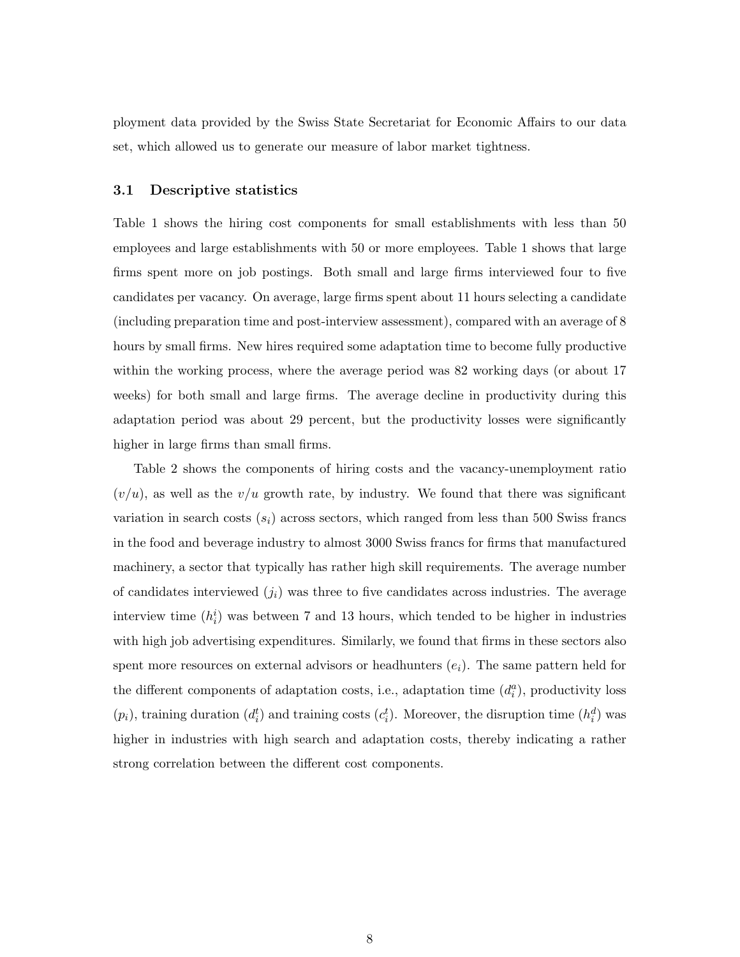ployment data provided by the Swiss State Secretariat for Economic Affairs to our data set, which allowed us to generate our measure of labor market tightness.

#### **3.1 Descriptive statistics**

Table 1 shows the hiring cost components for small establishments with less than 50 employees and large establishments with 50 or more employees. Table 1 shows that large firms spent more on job postings. Both small and large firms interviewed four to five candidates per vacancy. On average, large firms spent about 11 hours selecting a candidate (including preparation time and post-interview assessment), compared with an average of 8 hours by small firms. New hires required some adaptation time to become fully productive within the working process, where the average period was 82 working days (or about 17 weeks) for both small and large firms. The average decline in productivity during this adaptation period was about 29 percent, but the productivity losses were significantly higher in large firms than small firms.

Table 2 shows the components of hiring costs and the vacancy-unemployment ratio  $(v/u)$ , as well as the  $v/u$  growth rate, by industry. We found that there was significant variation in search costs  $(s_i)$  across sectors, which ranged from less than 500 Swiss francs in the food and beverage industry to almost 3000 Swiss francs for firms that manufactured machinery, a sector that typically has rather high skill requirements. The average number of candidates interviewed  $(j_i)$  was three to five candidates across industries. The average interview time  $(h_i^i)$  was between 7 and 13 hours, which tended to be higher in industries with high job advertising expenditures. Similarly, we found that firms in these sectors also spent more resources on external advisors or headhunters  $(e_i)$ . The same pattern held for the different components of adaptation costs, i.e., adaptation time  $(d_i^a)$ , productivity loss  $(p_i)$ , training duration  $(d_i^t)$  and training costs  $(c_i^t)$ . Moreover, the disruption time  $(h_i^d)$  was higher in industries with high search and adaptation costs, thereby indicating a rather strong correlation between the different cost components.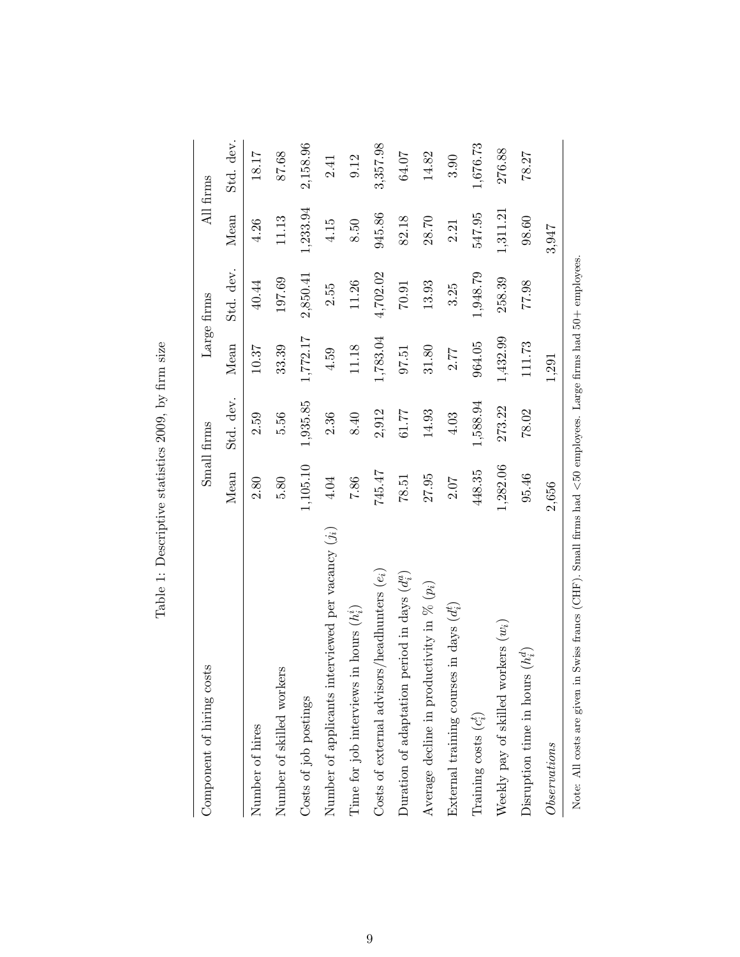| sts<br>Component of hiring co                                                                                      | Small firms  |           | Large firms |           | All firms |           |
|--------------------------------------------------------------------------------------------------------------------|--------------|-----------|-------------|-----------|-----------|-----------|
|                                                                                                                    | Mean         | Std. dev. | Mean        | Std. dev. | Mean      | Std. dev. |
| Number of hires                                                                                                    | 2.80         | 2.59      | 10.37       | 40.44     | 4.26      | 18.17     |
| Number of skilled workers                                                                                          | 5.80         | 5.56      | 33.39       | 197.69    | 11.13     | 87.68     |
| Costs of job postings                                                                                              | $1,\!105.10$ | 1,935.85  | 1,772.17    | 2,850.41  | 1,233.94  | 2,158.96  |
| Number of applicants interviewed per vacancy $(j_i)$                                                               | 4.04         | 2.36      | 4.59        | 2.55      | 4.15      | 2.41      |
| in hours $(h_i^i)$<br>Time for job interviews                                                                      | 7.86         | 8.40      | 11.18       | 11.26     | 8.50      | 9.12      |
| Costs of external advisors/headhunters $(e_i)$                                                                     | 745.47       | 2,912     | 1,783.04    | 4,702.02  | 945.86    | 3,357.98  |
| period in days $(d_i^a)$<br>Duration of adaptation                                                                 | 78.51        | 61.77     | 97.51       | $70.91\,$ | 82.18     | 64.07     |
| Average decline in productivity in $\%$ ( $p_i$ )                                                                  | 27.95        | 14.93     | 31.80       | 13.93     | 28.70     | 14.82     |
| External training courses in days $(d_i^t)$                                                                        | 2.07         | 4.03      | 2.77        | 3.25      | 2.21      | 3.90      |
| Training costs $(c_i^t)$                                                                                           | 448.35       | 1,588.94  | 964.05      | 1,948.79  | 547.95    | 1,676.73  |
| Weekly pay of skilled workers $(w_i)$                                                                              | 1,282.06     | 273.22    | 1,432.99    | 258.39    | 1,311.21  | 276.88    |
| Disruption time in hours $(h_i^d)$                                                                                 | 95.46        | 78.02     | 111.73      | 77.98     | 98.60     | 78.27     |
| $\label{thm:invariant} Observations$                                                                               | 2,656        |           | 1,291       |           | 3,947     |           |
| Note: All costs are given in Swiss francs (CHF). Small firms had $<50$ employees. Large firms had $50+$ employees. |              |           |             |           |           |           |

Note: All costs are given in Swiss francs (CHF). Small firms had *<*50 employees. Large firms had 50+ employees.

Table 1: Descriptive statistics 2009, by firm size Table 1: Descriptive statistics 2009, by firm size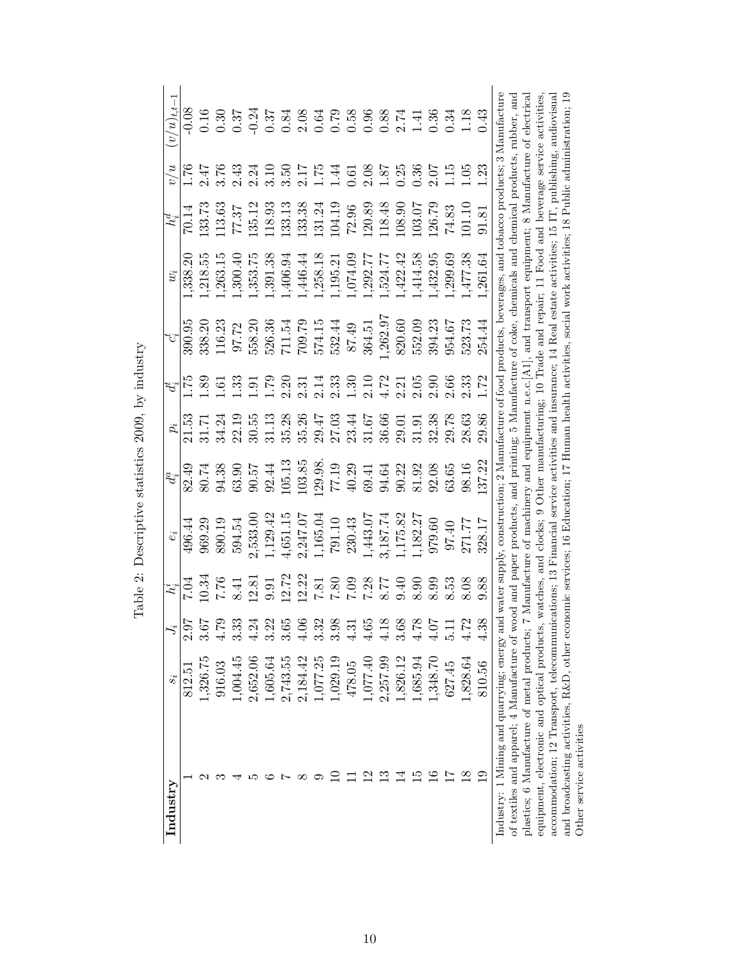| Industry                                                                                                                                                            | $s_i$    |                  | $h_i^i$                            |          | $d_{i}^{a}$ |       |                  |         | $w_i$                                                                                                                                                                                                                     | $h^d_i$   | v/u  | $(v/u)_{t,t-1}$                                     |
|---------------------------------------------------------------------------------------------------------------------------------------------------------------------|----------|------------------|------------------------------------|----------|-------------|-------|------------------|---------|---------------------------------------------------------------------------------------------------------------------------------------------------------------------------------------------------------------------------|-----------|------|-----------------------------------------------------|
|                                                                                                                                                                     | 812.51   | $2.\overline{9}$ | $\frac{1}{20.7}$                   | 496.44   | 82.49       | 21.53 | 55               | 390.95  | 338.20                                                                                                                                                                                                                    | 70.14     | 92.1 | 0.08                                                |
|                                                                                                                                                                     | 1,326.75 | 3.67             | 10.34                              | 969.29   | 80.74       | 31.71 | $\ddotsc$        | 338.20  | ,218.55                                                                                                                                                                                                                   | 133.73    | 2.47 |                                                     |
|                                                                                                                                                                     | 916.03   | 4.79             |                                    | 890.19   | 94.38       | 34.24 | 5.               | 116.23  | ,263.15                                                                                                                                                                                                                   | 113.63    | 3.76 | $\frac{0.16}{0.30}$                                 |
|                                                                                                                                                                     | 1,004.45 | 3.33             | $7.76\phantom{1}8.41$              | 594.54   | 63.90       | 22.19 | ಼                | 97.72   | 1,300.40                                                                                                                                                                                                                  | 77.37     | 2.43 | 0.37                                                |
|                                                                                                                                                                     | 2,652.06 | 4.24             | 12.81                              | 2,533.00 | 90.57       | 30.55 | $\overline{191}$ | 558.20  | ,353.75                                                                                                                                                                                                                   | 135.12    | 2.24 | $-0.24$                                             |
|                                                                                                                                                                     | 1,605.64 | 3.22             | 9.91                               | .129.42  | 92.44       | 31.13 | 62.1             | 526.36  | 1,391.38                                                                                                                                                                                                                  | 118.93    | 3.10 | 0.37                                                |
|                                                                                                                                                                     | 2,743.55 | 3.65             | 2.72                               | 1,651.15 | 105.13      | 35.28 | 2.20             | 711.54  | 1,406.94                                                                                                                                                                                                                  | 133.13    | 3.50 | 0.84                                                |
| ${}^{\infty}$                                                                                                                                                       | 2,184.42 | $\frac{5}{4}$    | 12.22                              | 2,247.07 | 103.85      | 35.26 | 2.31             | 709.79  | 1,446.44                                                                                                                                                                                                                  | 133.38    | 2.17 |                                                     |
| ⊙                                                                                                                                                                   | 1,077.25 | 3.32             |                                    | 1,165.04 | 129.98.     | 29.47 | 2.14             | 574.15  | 1,258.18                                                                                                                                                                                                                  | 131.24    | 1.75 | $\begin{array}{c} 2.08 \\ 0.64 \\ 0.79 \end{array}$ |
|                                                                                                                                                                     | 1,029.19 | 3.98             |                                    | 791.10   | 77.19       | 27.03 | 2.33             | 532.44  | 1,195.21                                                                                                                                                                                                                  | 104.19    | 1.44 |                                                     |
|                                                                                                                                                                     | 478.05   | 4.31             |                                    | 230.43   | 40.29       | 23.44 | 0.30             | 87.49   | ,074.09                                                                                                                                                                                                                   | $72.96\,$ | 0.61 | $0.58$<br>0.96                                      |
|                                                                                                                                                                     | 1,077.40 | 4.65             | 07:68<br>21:08:1<br>08:11<br>08:21 | 1,443.07 | 69.41       | 31.67 | 2.10             | 364.51  | 1,292.77                                                                                                                                                                                                                  | 120.89    | 2.08 |                                                     |
|                                                                                                                                                                     | 2,257.99 | 4.18             |                                    | 3,187.74 | 94.64       | 36.66 | 1.72             | ,262.97 | ,524.77                                                                                                                                                                                                                   | 118.48    | 1.87 |                                                     |
|                                                                                                                                                                     | 1,826.12 | 3.68             |                                    | 1,175.82 | 90.22       | 29.01 | 2.21             | 820.60  | ,422.42                                                                                                                                                                                                                   | 108.90    | 0.25 | $0.88$<br>$2.74$<br>$1.41$<br>$0.36$                |
|                                                                                                                                                                     | 1,685.94 | 4.78             | 8.90                               | 1,182.27 | 81.92       | 31.91 | 2.05             | 552.09  | ,414.58                                                                                                                                                                                                                   | 103.07    | 0.36 |                                                     |
| $\stackrel{\circ}{\scriptstyle \circ}$                                                                                                                              | 1,348.70 | 4.07             | 8.99                               | 979.60   | 92.08       | 32.38 | 2.90             | 394.23  | 1,432.95                                                                                                                                                                                                                  | 126.79    | 2.07 |                                                     |
|                                                                                                                                                                     | 627.45   | Г.<br>Б          | 8.53                               | 97.40    | 63.65       | 29.78 | 2.66             | 954.67  | 1,299.69                                                                                                                                                                                                                  | 74.83     | 1.15 | 0.34                                                |
| $\frac{8}{1}$                                                                                                                                                       | 1,828.64 | 4.72             | 8.08                               | 271.77   | 98.16       | 28.63 | 2.33             | 523.73  | 477.38                                                                                                                                                                                                                    | 101.10    | 1.05 | 1.18                                                |
| $\mathbf{5}$                                                                                                                                                        | 810.56   | 4.38             | 9.88                               | 328.17   | 137.22      | 29.86 | 1.72             | 254.44  | 1,261.64                                                                                                                                                                                                                  | 91.81     | 1.23 | 0.43                                                |
| $\rm Industry: 1$ Mining and quarrying; energy and water $\rm supply,$ construction; 2 Manufacture of food products, beverages, and tobacco products; 3 Manufacture |          |                  |                                    |          |             |       |                  |         |                                                                                                                                                                                                                           |           |      |                                                     |
| of textiles and apparel; 4 Manufacture of wood and paper products, and printing; 5 Manufacture of coke, chemicals and chemical products, rubber, and                |          |                  |                                    |          |             |       |                  |         |                                                                                                                                                                                                                           |           |      |                                                     |
| equipment, electronic and optical products,<br>plastics; 6 Manufacture of metal products;                                                                           |          |                  |                                    |          |             |       |                  |         | 7 Manufacture of machinery and equipment n.e.c. $[A1]$ , and transport equipment; 8 Manufacture of electrical<br>watches, and clocks; 9 Other manufacturing; 10 Trade and repair; 11 Food and beverage service activities |           |      |                                                     |
| accommodation; 12 Transport, telecommunications; 13 Financial service activities and insurance; 14 Real estate activities; 15 IT, publishing, audiovisual           |          |                  |                                    |          |             |       |                  |         |                                                                                                                                                                                                                           |           |      |                                                     |
| and broadcasting activities, R&D, other economic services; 16 Education; 17 Human health activities, social work activities; 18 Public administration; 19           |          |                  |                                    |          |             |       |                  |         |                                                                                                                                                                                                                           |           |      |                                                     |
| Other service activities                                                                                                                                            |          |                  |                                    |          |             |       |                  |         |                                                                                                                                                                                                                           |           |      |                                                     |
|                                                                                                                                                                     |          |                  |                                    |          |             |       |                  |         |                                                                                                                                                                                                                           |           |      |                                                     |

Table 2: Descriptive statistics 2009, by industry Table 2: Descriptive statistics 2009, by industry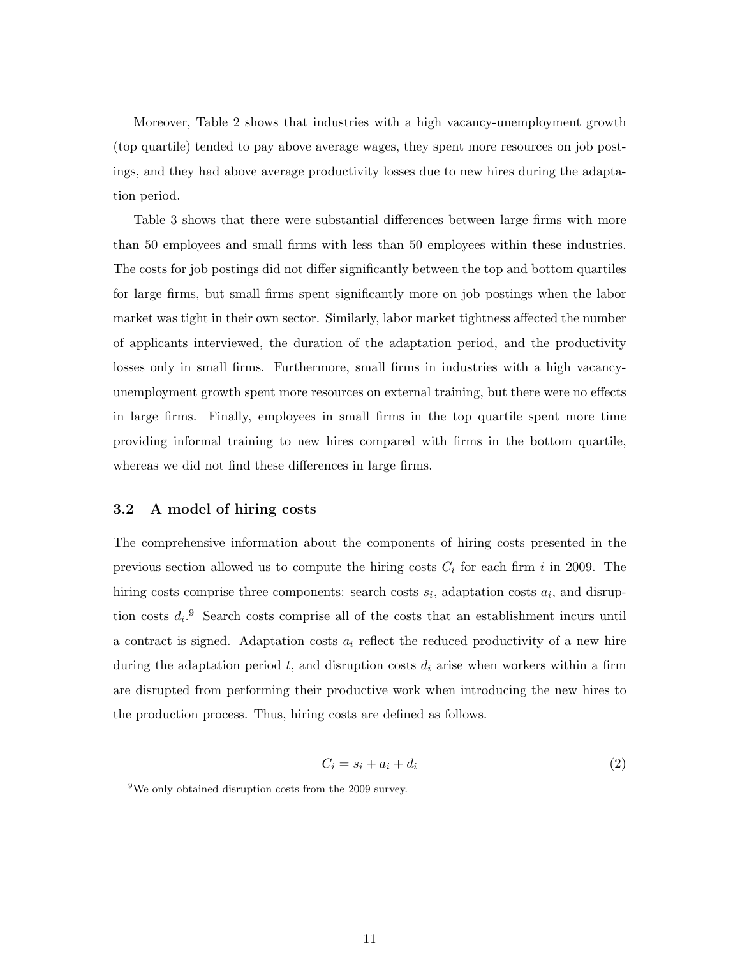Moreover, Table 2 shows that industries with a high vacancy-unemployment growth (top quartile) tended to pay above average wages, they spent more resources on job postings, and they had above average productivity losses due to new hires during the adaptation period.

Table 3 shows that there were substantial differences between large firms with more than 50 employees and small firms with less than 50 employees within these industries. The costs for job postings did not differ significantly between the top and bottom quartiles for large firms, but small firms spent significantly more on job postings when the labor market was tight in their own sector. Similarly, labor market tightness affected the number of applicants interviewed, the duration of the adaptation period, and the productivity losses only in small firms. Furthermore, small firms in industries with a high vacancyunemployment growth spent more resources on external training, but there were no effects in large firms. Finally, employees in small firms in the top quartile spent more time providing informal training to new hires compared with firms in the bottom quartile, whereas we did not find these differences in large firms.

#### **3.2 A model of hiring costs**

The comprehensive information about the components of hiring costs presented in the previous section allowed us to compute the hiring costs *C<sup>i</sup>* for each firm *i* in 2009. The hiring costs comprise three components: search costs  $s_i$ , adaptation costs  $a_i$ , and disruption costs  $d_i$ <sup>9</sup>. Search costs comprise all of the costs that an establishment incurs until a contract is signed. Adaptation costs *a<sup>i</sup>* reflect the reduced productivity of a new hire during the adaptation period  $t$ , and disruption costs  $d_i$  arise when workers within a firm are disrupted from performing their productive work when introducing the new hires to the production process. Thus, hiring costs are defined as follows.

$$
C_i = s_i + a_i + d_i \tag{2}
$$

 $9$ We only obtained disruption costs from the 2009 survey.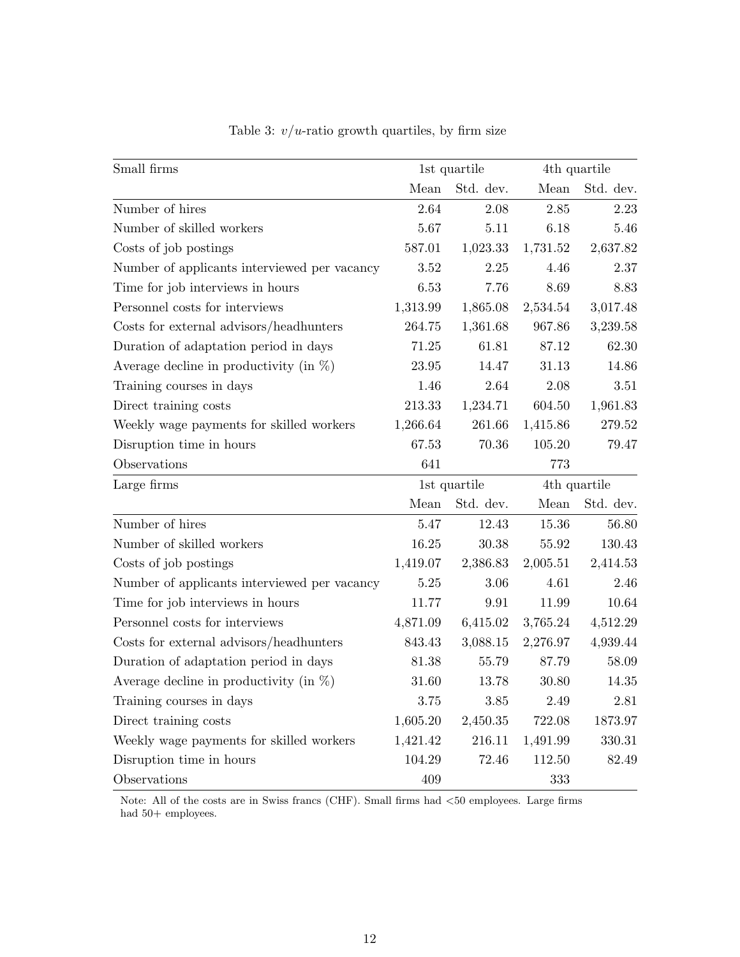| Small firms                                  |           | 1st quartile |          | 4th quartile |
|----------------------------------------------|-----------|--------------|----------|--------------|
|                                              | Mean      | Std. dev.    | Mean     | Std. dev.    |
| Number of hires                              | 2.64      | 2.08         | 2.85     | 2.23         |
| Number of skilled workers                    | 5.67      | 5.11         | 6.18     | 5.46         |
| Costs of job postings                        | 587.01    | 1,023.33     | 1,731.52 | 2,637.82     |
| Number of applicants interviewed per vacancy | 3.52      | 2.25         | 4.46     | 2.37         |
| Time for job interviews in hours             | 6.53      | 7.76         | 8.69     | 8.83         |
| Personnel costs for interviews               | 1,313.99  | 1,865.08     | 2,534.54 | 3,017.48     |
| Costs for external advisors/headhunters      | 264.75    | 1,361.68     | 967.86   | 3,239.58     |
| Duration of adaptation period in days        | 71.25     | 61.81        | 87.12    | 62.30        |
| Average decline in productivity (in $\%$ )   | $23.95\,$ | 14.47        | 31.13    | 14.86        |
| Training courses in days                     | 1.46      | 2.64         | 2.08     | 3.51         |
| Direct training costs                        | 213.33    | 1,234.71     | 604.50   | 1,961.83     |
| Weekly wage payments for skilled workers     | 1,266.64  | 261.66       | 1,415.86 | $279.52\,$   |
| Disruption time in hours                     | 67.53     | 70.36        | 105.20   | 79.47        |
| Observations                                 | 641       |              | 773      |              |
| Large firms                                  |           | 1st quartile |          | 4th quartile |
|                                              | Mean      | Std. dev.    | Mean     | Std. dev.    |
| Number of hires                              | 5.47      | 12.43        | 15.36    | 56.80        |
| Number of skilled workers                    | 16.25     | 30.38        | 55.92    | 130.43       |
| Costs of job postings                        | 1,419.07  | 2,386.83     | 2,005.51 | 2,414.53     |
| Number of applicants interviewed per vacancy | 5.25      | 3.06         | 4.61     | 2.46         |
| Time for job interviews in hours             | 11.77     | 9.91         | 11.99    | 10.64        |
| Personnel costs for interviews               | 4,871.09  | 6,415.02     | 3,765.24 | 4,512.29     |
| Costs for external advisors/headhunters      | 843.43    | 3,088.15     | 2,276.97 | 4,939.44     |
| Duration of adaptation period in days        | 81.38     | 55.79        | 87.79    | 58.09        |
| Average decline in productivity (in $\%$ )   | 31.60     | 13.78        | 30.80    | 14.35        |
| Training courses in days                     | 3.75      | 3.85         | 2.49     | 2.81         |
| Direct training costs                        | 1,605.20  | 2,450.35     | 722.08   | 1873.97      |
| Weekly wage payments for skilled workers     | 1,421.42  | 216.11       | 1,491.99 | 330.31       |
| Disruption time in hours                     | 104.29    | 72.46        | 112.50   | 82.49        |
| Observations                                 | 409       |              | 333      |              |

Table 3:  $v/u$ -ratio growth quartiles, by firm size

Note: All of the costs are in Swiss francs (CHF). Small firms had *<*50 employees. Large firms had  $50+$  employees.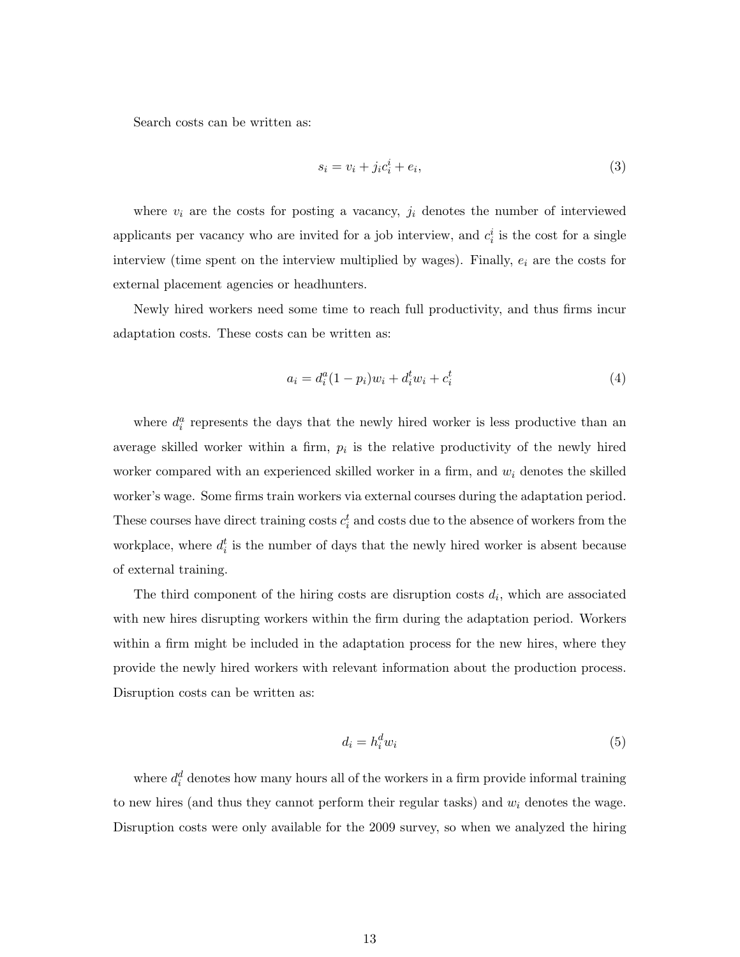Search costs can be written as:

$$
s_i = v_i + j_i c_i^i + e_i,\tag{3}
$$

where  $v_i$  are the costs for posting a vacancy,  $j_i$  denotes the number of interviewed applicants per vacancy who are invited for a job interview, and  $c_i^i$  is the cost for a single interview (time spent on the interview multiplied by wages). Finally, *e<sup>i</sup>* are the costs for external placement agencies or headhunters.

Newly hired workers need some time to reach full productivity, and thus firms incur adaptation costs. These costs can be written as:

$$
a_i = d_i^a (1 - p_i) w_i + d_i^t w_i + c_i^t \tag{4}
$$

where  $d_i^a$  represents the days that the newly hired worker is less productive than an average skilled worker within a firm,  $p_i$  is the relative productivity of the newly hired worker compared with an experienced skilled worker in a firm, and *w<sup>i</sup>* denotes the skilled worker's wage. Some firms train workers via external courses during the adaptation period. These courses have direct training costs  $c_i^t$  and costs due to the absence of workers from the workplace, where  $d_i^t$  is the number of days that the newly hired worker is absent because of external training.

The third component of the hiring costs are disruption costs  $d_i$ , which are associated with new hires disrupting workers within the firm during the adaptation period. Workers within a firm might be included in the adaptation process for the new hires, where they provide the newly hired workers with relevant information about the production process. Disruption costs can be written as:

$$
d_i = h_i^d w_i \tag{5}
$$

where  $d_i^d$  denotes how many hours all of the workers in a firm provide informal training to new hires (and thus they cannot perform their regular tasks) and *w<sup>i</sup>* denotes the wage. Disruption costs were only available for the 2009 survey, so when we analyzed the hiring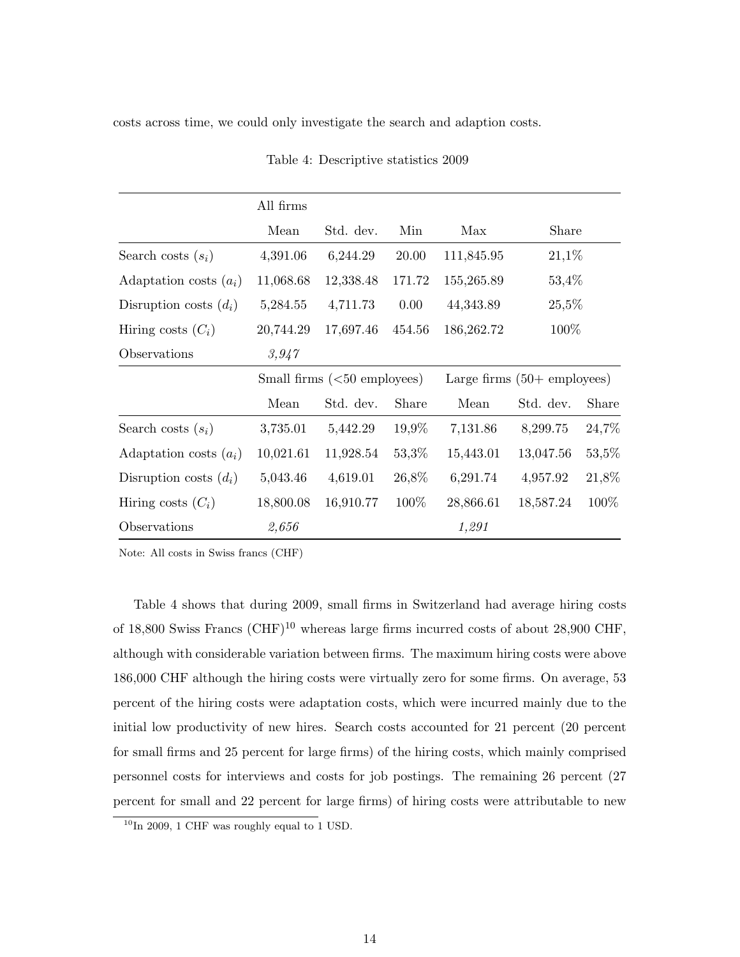costs across time, we could only investigate the search and adaption costs.

|                          | All firms |                              |        |            |                                        |       |
|--------------------------|-----------|------------------------------|--------|------------|----------------------------------------|-------|
|                          | Mean      | Std. dev.                    | Min    | Max        | Share                                  |       |
| Search costs $(s_i)$     | 4,391.06  | 6,244.29                     | 20.00  | 111,845.95 | $21,1\%$                               |       |
| Adaptation costs $(a_i)$ | 11,068.68 | 12,338.48                    | 171.72 | 155,265.89 | 53,4%                                  |       |
| Disruption costs $(d_i)$ | 5,284.55  | 4,711.73                     | 0.00   | 44,343.89  | 25,5%                                  |       |
| Hiring costs $(C_i)$     | 20,744.29 | 17,697.46                    | 454.56 | 186,262.72 | 100\%                                  |       |
| Observations             | 3,947     |                              |        |            |                                        |       |
|                          |           | Small firms $(50$ employees) |        |            | Large firms $(50 + \text{ employees})$ |       |
|                          | Mean      | Std. dev.                    | Share  | Mean       | Std. dev.                              | Share |
| Search costs $(s_i)$     | 3,735.01  | 5,442.29                     | 19,9%  | 7,131.86   | 8,299.75                               | 24,7% |
| Adaptation costs $(a_i)$ | 10,021.61 | 11,928.54                    | 53,3%  | 15,443.01  | 13,047.56                              | 53,5% |
| Disruption costs $(d_i)$ | 5,043.46  | 4,619.01                     | 26,8%  | 6,291.74   | 4,957.92                               | 21,8% |
| Hiring costs $(C_i)$     | 18,800.08 | 16,910.77                    | 100\%  | 28,866.61  | 18,587.24                              | 100%  |
| Observations             | 2,656     |                              |        | 1,291      |                                        |       |

Table 4: Descriptive statistics 2009

Note: All costs in Swiss francs (CHF)

Table 4 shows that during 2009, small firms in Switzerland had average hiring costs of 18,800 Swiss Francs  $(\text{CHF})^{10}$  whereas large firms incurred costs of about 28,900 CHF, although with considerable variation between firms. The maximum hiring costs were above 186,000 CHF although the hiring costs were virtually zero for some firms. On average, 53 percent of the hiring costs were adaptation costs, which were incurred mainly due to the initial low productivity of new hires. Search costs accounted for 21 percent (20 percent for small firms and 25 percent for large firms) of the hiring costs, which mainly comprised personnel costs for interviews and costs for job postings. The remaining 26 percent (27 percent for small and 22 percent for large firms) of hiring costs were attributable to new

 $10$ In 2009, 1 CHF was roughly equal to 1 USD.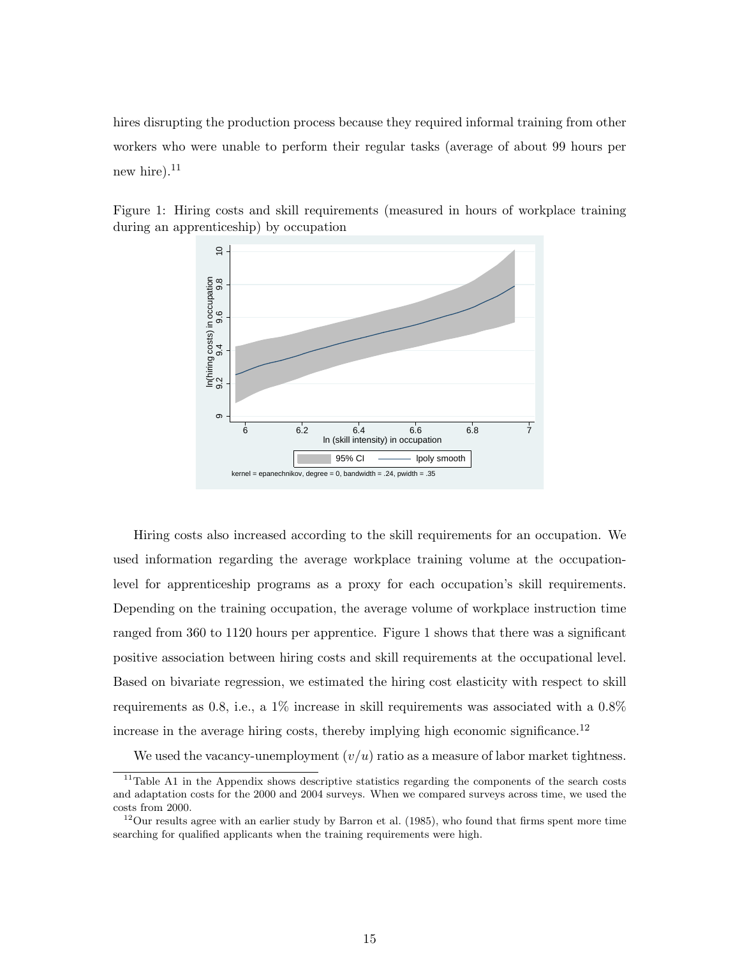hires disrupting the production process because they required informal training from other workers who were unable to perform their regular tasks (average of about 99 hours per new hire). $^{11}$ 



Figure 1: Hiring costs and skill requirements (measured in hours of workplace training during an apprenticeship) by occupation

Hiring costs also increased according to the skill requirements for an occupation. We used information regarding the average workplace training volume at the occupationlevel for apprenticeship programs as a proxy for each occupation's skill requirements. Depending on the training occupation, the average volume of workplace instruction time ranged from 360 to 1120 hours per apprentice. Figure 1 shows that there was a significant positive association between hiring costs and skill requirements at the occupational level. Based on bivariate regression, we estimated the hiring cost elasticity with respect to skill requirements as 0.8, i.e., a 1% increase in skill requirements was associated with a 0.8% increase in the average hiring costs, thereby implying high economic significance.<sup>12</sup>

We used the vacancy-unemployment  $(v/u)$  ratio as a measure of labor market tightness.

<sup>&</sup>lt;sup>11</sup>Table A1 in the Appendix shows descriptive statistics regarding the components of the search costs and adaptation costs for the 2000 and 2004 surveys. When we compared surveys across time, we used the costs from 2000.

 $12$ Our results agree with an earlier study by Barron et al. (1985), who found that firms spent more time searching for qualified applicants when the training requirements were high.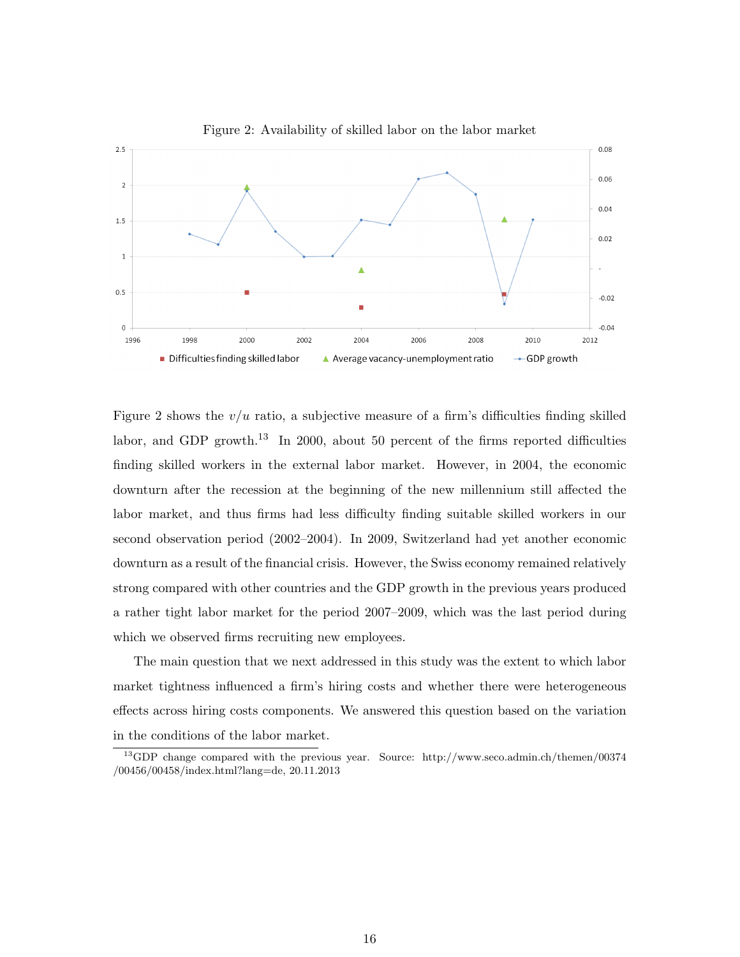

Figure 2 shows the  $v/u$  ratio, a subjective measure of a firm's difficulties finding skilled labor, and GDP growth.<sup>13</sup> In 2000, about 50 percent of the firms reported difficulties finding skilled workers in the external labor market. However, in 2004, the economic downturn after the recession at the beginning of the new millennium still affected the labor market, and thus firms had less difficulty finding suitable skilled workers in our second observation period (2002–2004). In 2009, Switzerland had yet another economic downturn as a result of the financial crisis. However, the Swiss economy remained relatively strong compared with other countries and the GDP growth in the previous years produced a rather tight labor market for the period 2007–2009, which was the last period during which we observed firms recruiting new employees.

The main question that we next addressed in this study was the extent to which labor market tightness influenced a firm's hiring costs and whether there were heterogeneous effects across hiring costs components. We answered this question based on the variation in the conditions of the labor market.

<sup>13</sup>GDP change compared with the previous year. Source: http://www.seco.admin.ch/themen/00374 /00456/00458/index.html?lang=de, 20.11.2013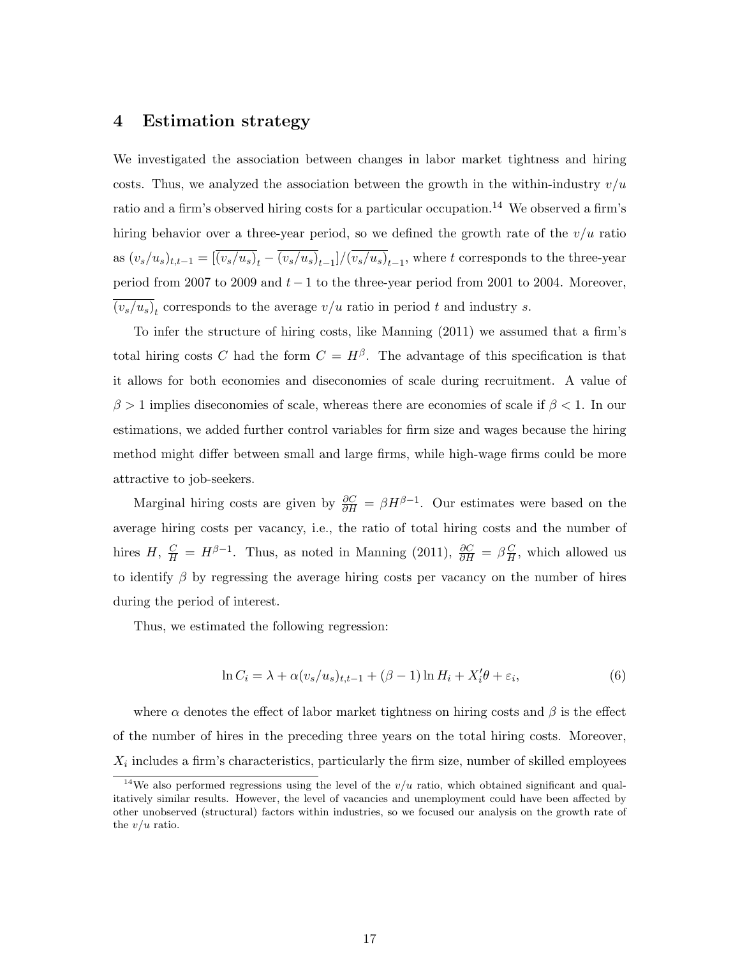### **4 Estimation strategy**

We investigated the association between changes in labor market tightness and hiring costs. Thus, we analyzed the association between the growth in the within-industry  $v/u$ ratio and a firm's observed hiring costs for a particular occupation.<sup>14</sup> We observed a firm's hiring behavior over a three-year period, so we defined the growth rate of the  $v/u$  ratio as  $(v_s/u_s)_{t,t-1} = [(v_s/u_s)_{t} - (v_s/u_s)_{t-1}]/(v_s/u_s)_{t-1}$ , where t corresponds to the three-year period from 2007 to 2009 and *t −* 1 to the three-year period from 2001 to 2004. Moreover,  $(v_s/u_s)_t$  corresponds to the average  $v/u$  ratio in period *t* and industry *s*.

To infer the structure of hiring costs, like Manning (2011) we assumed that a firm's total hiring costs *C* had the form  $C = H^{\beta}$ . The advantage of this specification is that it allows for both economies and diseconomies of scale during recruitment. A value of *β >* 1 implies diseconomies of scale, whereas there are economies of scale if *β <* 1. In our estimations, we added further control variables for firm size and wages because the hiring method might differ between small and large firms, while high-wage firms could be more attractive to job-seekers.

Marginal hiring costs are given by  $\frac{\partial C}{\partial H} = \beta H^{\beta - 1}$ . Our estimates were based on the average hiring costs per vacancy, i.e., the ratio of total hiring costs and the number of hires *H*,  $\frac{C}{H} = H^{\beta-1}$ . Thus, as noted in Manning (2011),  $\frac{\partial C}{\partial H} = \beta \frac{C}{H}$  $\frac{C}{H}$ , which allowed us to identify *β* by regressing the average hiring costs per vacancy on the number of hires during the period of interest.

Thus, we estimated the following regression:

$$
\ln C_i = \lambda + \alpha (v_s/u_s)_{t,t-1} + (\beta - 1) \ln H_i + X_i' \theta + \varepsilon_i,
$$
\n(6)

where  $\alpha$  denotes the effect of labor market tightness on hiring costs and  $\beta$  is the effect of the number of hires in the preceding three years on the total hiring costs. Moreover,  $X_i$  includes a firm's characteristics, particularly the firm size, number of skilled employees

<sup>&</sup>lt;sup>14</sup>We also performed regressions using the level of the  $v/u$  ratio, which obtained significant and qualitatively similar results. However, the level of vacancies and unemployment could have been affected by other unobserved (structural) factors within industries, so we focused our analysis on the growth rate of the *v/u* ratio.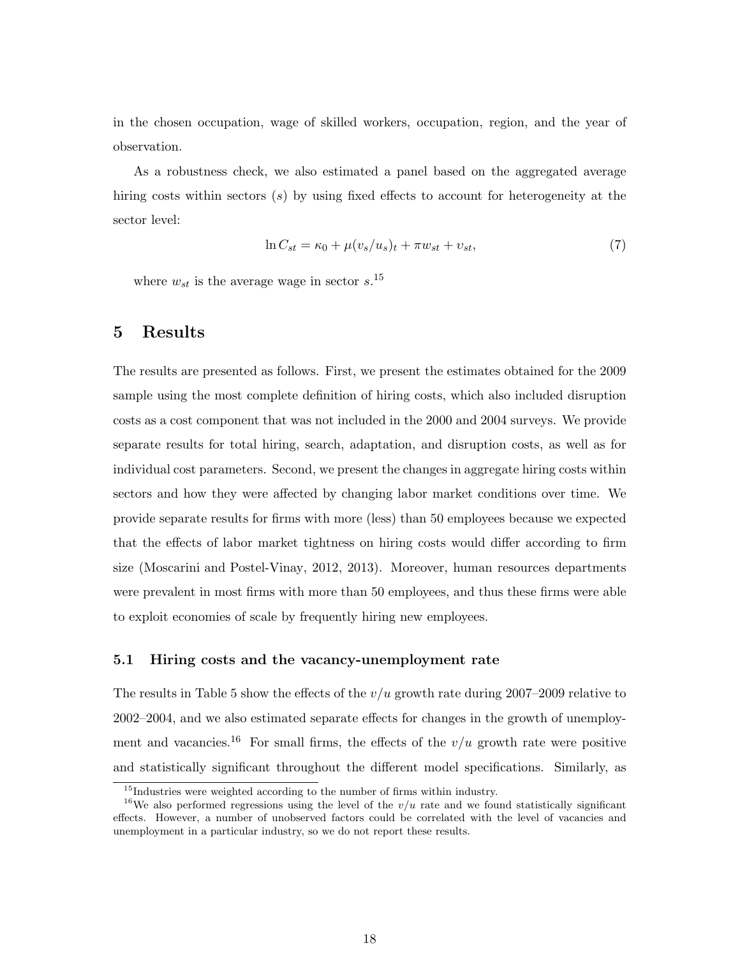in the chosen occupation, wage of skilled workers, occupation, region, and the year of observation.

As a robustness check, we also estimated a panel based on the aggregated average hiring costs within sectors (*s*) by using fixed effects to account for heterogeneity at the sector level:

$$
\ln C_{st} = \kappa_0 + \mu (v_s/u_s)_t + \pi w_{st} + v_{st},\tag{7}
$$

where  $w_{st}$  is the average wage in sector  $s$ <sup>15</sup>

### **5 Results**

The results are presented as follows. First, we present the estimates obtained for the 2009 sample using the most complete definition of hiring costs, which also included disruption costs as a cost component that was not included in the 2000 and 2004 surveys. We provide separate results for total hiring, search, adaptation, and disruption costs, as well as for individual cost parameters. Second, we present the changes in aggregate hiring costs within sectors and how they were affected by changing labor market conditions over time. We provide separate results for firms with more (less) than 50 employees because we expected that the effects of labor market tightness on hiring costs would differ according to firm size (Moscarini and Postel-Vinay, 2012, 2013). Moreover, human resources departments were prevalent in most firms with more than 50 employees, and thus these firms were able to exploit economies of scale by frequently hiring new employees.

#### **5.1 Hiring costs and the vacancy-unemployment rate**

The results in Table 5 show the effects of the *v/u* growth rate during 2007–2009 relative to 2002–2004, and we also estimated separate effects for changes in the growth of unemployment and vacancies.<sup>16</sup> For small firms, the effects of the  $v/u$  growth rate were positive and statistically significant throughout the different model specifications. Similarly, as

 $15$ Industries were weighted according to the number of firms within industry.

<sup>&</sup>lt;sup>16</sup>We also performed regressions using the level of the  $v/u$  rate and we found statistically significant effects. However, a number of unobserved factors could be correlated with the level of vacancies and unemployment in a particular industry, so we do not report these results.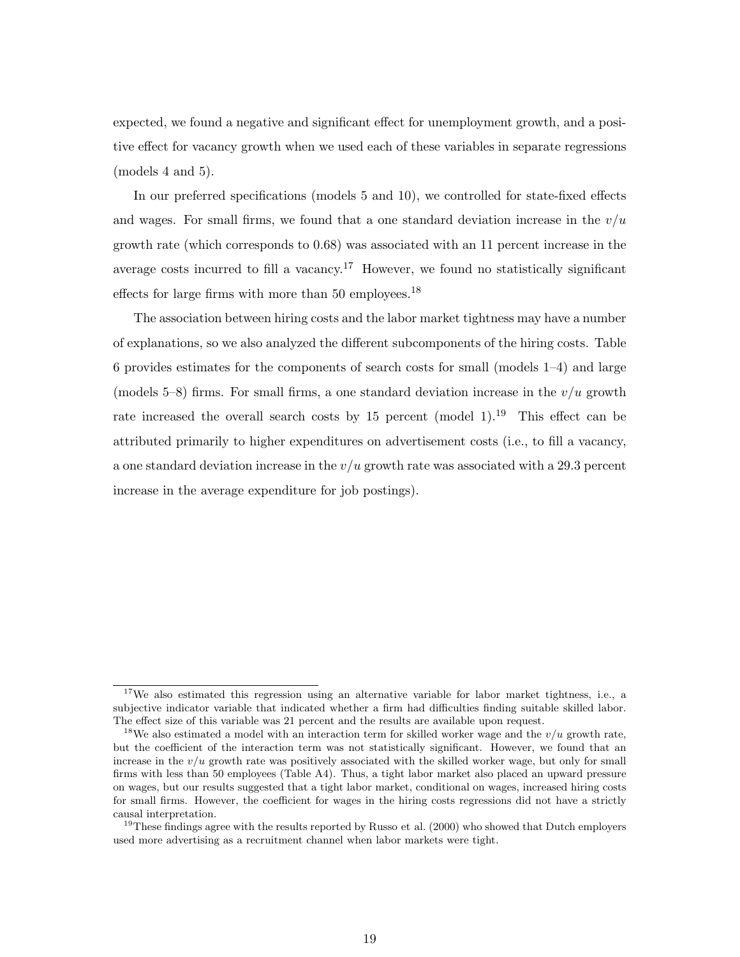expected, we found a negative and significant effect for unemployment growth, and a positive effect for vacancy growth when we used each of these variables in separate regressions (models 4 and 5).

In our preferred specifications (models 5 and 10), we controlled for state-fixed effects and wages. For small firms, we found that a one standard deviation increase in the  $v/u$ growth rate (which corresponds to 0.68) was associated with an 11 percent increase in the average costs incurred to fill a vacancy.<sup>17</sup> However, we found no statistically significant effects for large firms with more than 50 employees.<sup>18</sup>

The association between hiring costs and the labor market tightness may have a number of explanations, so we also analyzed the different subcomponents of the hiring costs. Table 6 provides estimates for the components of search costs for small (models 1–4) and large (models  $5-8$ ) firms. For small firms, a one standard deviation increase in the  $v/u$  growth rate increased the overall search costs by 15 percent (model 1).<sup>19</sup> This effect can be attributed primarily to higher expenditures on advertisement costs (i.e., to fill a vacancy, a one standard deviation increase in the *v/u* growth rate was associated with a 29.3 percent increase in the average expenditure for job postings).

<sup>&</sup>lt;sup>17</sup>We also estimated this regression using an alternative variable for labor market tightness, i.e., a subjective indicator variable that indicated whether a firm had difficulties finding suitable skilled labor. The effect size of this variable was 21 percent and the results are available upon request.

<sup>18</sup>We also estimated a model with an interaction term for skilled worker wage and the *v/u* growth rate, but the coefficient of the interaction term was not statistically significant. However, we found that an increase in the *v/u* growth rate was positively associated with the skilled worker wage, but only for small firms with less than 50 employees (Table A4). Thus, a tight labor market also placed an upward pressure on wages, but our results suggested that a tight labor market, conditional on wages, increased hiring costs for small firms. However, the coefficient for wages in the hiring costs regressions did not have a strictly causal interpretation.

<sup>&</sup>lt;sup>19</sup>These findings agree with the results reported by Russo et al.  $(2000)$  who showed that Dutch employers used more advertising as a recruitment channel when labor markets were tight.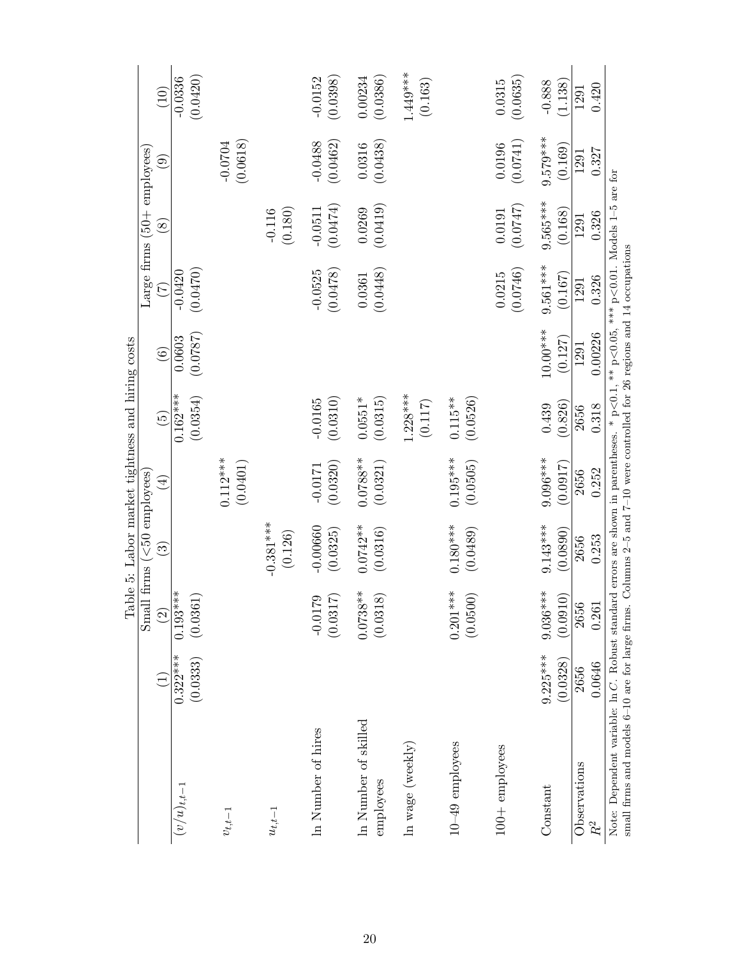| $1.449***$<br>(0.0420)<br>(0.0386)<br>$-0.0336$<br>$-0.0152$<br>(0.0398)<br>0.00234<br>(0.0635)<br>(0.163)<br>0.0315<br>(1.138)<br>$-0.888$<br>0.420<br>(10)<br>1291<br>$9.579***$<br>(0.0741)<br>(0.0462)<br>(0.0618)<br>$-0.0488$<br>(0.0438)<br>$-0.0704$<br>0.0196<br>0.0316<br>(0.169)<br>Large firms $(50 + \text{employees})$<br>0.327<br>1291<br>$\odot$<br>$9.565***$<br>(0.0474)<br>(0.0419)<br>(747)<br>0.0269<br>(0.180)<br>$-0.0511$<br>$-0.116$<br>$\,0.0191\,$<br>(0.168)<br>0.326<br>1291<br>$\infty$<br>$9.561***$<br>(0.0470)<br>(0.0478)<br>(0.0746)<br>$-0.0420$<br>$-0.0525$<br>(0.0448)<br>0.0215<br>(0.167)<br>0.0361<br>0.326<br>1291<br>$\widetilde{C}$<br>10.00***<br>0.00226<br>(0.0787)<br>0.0603<br>(0.127)<br>1291<br>$\odot$<br>$1.228***$<br>$0.162***$<br>(0.0354)<br>(0.0310)<br>(0.0526)<br>(0.0315)<br>$0.115**$<br>$0.0551*$<br>$-0.0165$<br>(0.117)<br>(0.826)<br>0.439<br>0.318<br>2656<br>$\widetilde{G}$<br>$0.195***$<br>$9.096***$<br>$0.0788**$<br>$0.112***$<br>(0.0401)<br>(0.0320)<br>(0.0321)<br>(0.0505)<br>(0.0917)<br>$-0.0171$<br>0.252<br>2656<br>Small firms $(<50$ employees<br>$\widehat{A}$<br>$-0.381***$<br>$0.180***$<br>$9.143***$<br>$0.0742**$<br>$-0.00660$<br>(0.0489)<br>(0.0890)<br>(0.0316)<br>(0.0325)<br>(0.126)<br>0.253<br>2656<br>$\widehat{\mathbb{G}}$<br>$0.193***$<br>$0.201***$<br>$0.0738**$<br>$9.036***$<br>(0.0361)<br>(0.0500)<br>(0.0910)<br>(0.0318)<br>(0.0317)<br>$-0.0179$<br>$\circled{2}$<br>2656<br>0.261<br>$9.225***$<br>$0.322***$<br>(0.0333)<br>(0.0328)<br>0.0646<br>2656<br>In Number of skilled<br>In Number of hires<br>$10 - 49$ employees<br>In wage $(\text{weekly})$<br>$100+$ employees<br>Observations<br>employees<br>$(v/u)_{t,t-1}$<br>Constant |  | Table 5: Labor market tightness and hiring costs |  |  |  |  |
|--------------------------------------------------------------------------------------------------------------------------------------------------------------------------------------------------------------------------------------------------------------------------------------------------------------------------------------------------------------------------------------------------------------------------------------------------------------------------------------------------------------------------------------------------------------------------------------------------------------------------------------------------------------------------------------------------------------------------------------------------------------------------------------------------------------------------------------------------------------------------------------------------------------------------------------------------------------------------------------------------------------------------------------------------------------------------------------------------------------------------------------------------------------------------------------------------------------------------------------------------------------------------------------------------------------------------------------------------------------------------------------------------------------------------------------------------------------------------------------------------------------------------------------------------------------------------------------------------------------------------------------------------------------------------------------------------------------------------------------------------------------|--|--------------------------------------------------|--|--|--|--|
|                                                                                                                                                                                                                                                                                                                                                                                                                                                                                                                                                                                                                                                                                                                                                                                                                                                                                                                                                                                                                                                                                                                                                                                                                                                                                                                                                                                                                                                                                                                                                                                                                                                                                                                                                              |  |                                                  |  |  |  |  |
|                                                                                                                                                                                                                                                                                                                                                                                                                                                                                                                                                                                                                                                                                                                                                                                                                                                                                                                                                                                                                                                                                                                                                                                                                                                                                                                                                                                                                                                                                                                                                                                                                                                                                                                                                              |  |                                                  |  |  |  |  |
|                                                                                                                                                                                                                                                                                                                                                                                                                                                                                                                                                                                                                                                                                                                                                                                                                                                                                                                                                                                                                                                                                                                                                                                                                                                                                                                                                                                                                                                                                                                                                                                                                                                                                                                                                              |  |                                                  |  |  |  |  |
|                                                                                                                                                                                                                                                                                                                                                                                                                                                                                                                                                                                                                                                                                                                                                                                                                                                                                                                                                                                                                                                                                                                                                                                                                                                                                                                                                                                                                                                                                                                                                                                                                                                                                                                                                              |  |                                                  |  |  |  |  |
|                                                                                                                                                                                                                                                                                                                                                                                                                                                                                                                                                                                                                                                                                                                                                                                                                                                                                                                                                                                                                                                                                                                                                                                                                                                                                                                                                                                                                                                                                                                                                                                                                                                                                                                                                              |  |                                                  |  |  |  |  |
|                                                                                                                                                                                                                                                                                                                                                                                                                                                                                                                                                                                                                                                                                                                                                                                                                                                                                                                                                                                                                                                                                                                                                                                                                                                                                                                                                                                                                                                                                                                                                                                                                                                                                                                                                              |  |                                                  |  |  |  |  |
|                                                                                                                                                                                                                                                                                                                                                                                                                                                                                                                                                                                                                                                                                                                                                                                                                                                                                                                                                                                                                                                                                                                                                                                                                                                                                                                                                                                                                                                                                                                                                                                                                                                                                                                                                              |  |                                                  |  |  |  |  |
|                                                                                                                                                                                                                                                                                                                                                                                                                                                                                                                                                                                                                                                                                                                                                                                                                                                                                                                                                                                                                                                                                                                                                                                                                                                                                                                                                                                                                                                                                                                                                                                                                                                                                                                                                              |  |                                                  |  |  |  |  |
|                                                                                                                                                                                                                                                                                                                                                                                                                                                                                                                                                                                                                                                                                                                                                                                                                                                                                                                                                                                                                                                                                                                                                                                                                                                                                                                                                                                                                                                                                                                                                                                                                                                                                                                                                              |  |                                                  |  |  |  |  |
|                                                                                                                                                                                                                                                                                                                                                                                                                                                                                                                                                                                                                                                                                                                                                                                                                                                                                                                                                                                                                                                                                                                                                                                                                                                                                                                                                                                                                                                                                                                                                                                                                                                                                                                                                              |  |                                                  |  |  |  |  |
|                                                                                                                                                                                                                                                                                                                                                                                                                                                                                                                                                                                                                                                                                                                                                                                                                                                                                                                                                                                                                                                                                                                                                                                                                                                                                                                                                                                                                                                                                                                                                                                                                                                                                                                                                              |  |                                                  |  |  |  |  |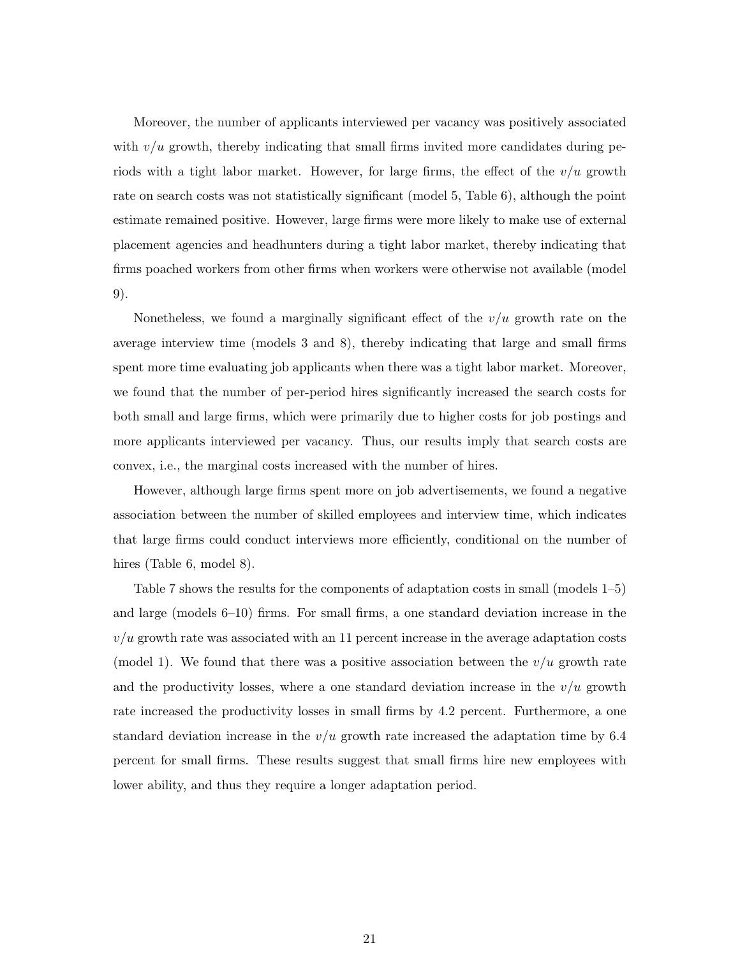Moreover, the number of applicants interviewed per vacancy was positively associated with  $v/u$  growth, thereby indicating that small firms invited more candidates during periods with a tight labor market. However, for large firms, the effect of the *v/u* growth rate on search costs was not statistically significant (model 5, Table 6), although the point estimate remained positive. However, large firms were more likely to make use of external placement agencies and headhunters during a tight labor market, thereby indicating that firms poached workers from other firms when workers were otherwise not available (model 9).

Nonetheless, we found a marginally significant effect of the  $v/u$  growth rate on the average interview time (models 3 and 8), thereby indicating that large and small firms spent more time evaluating job applicants when there was a tight labor market. Moreover, we found that the number of per-period hires significantly increased the search costs for both small and large firms, which were primarily due to higher costs for job postings and more applicants interviewed per vacancy. Thus, our results imply that search costs are convex, i.e., the marginal costs increased with the number of hires.

However, although large firms spent more on job advertisements, we found a negative association between the number of skilled employees and interview time, which indicates that large firms could conduct interviews more efficiently, conditional on the number of hires (Table 6, model 8).

Table 7 shows the results for the components of adaptation costs in small (models 1–5) and large (models 6–10) firms. For small firms, a one standard deviation increase in the  $v/u$  growth rate was associated with an 11 percent increase in the average adaptation costs (model 1). We found that there was a positive association between the *v/u* growth rate and the productivity losses, where a one standard deviation increase in the *v/u* growth rate increased the productivity losses in small firms by 4.2 percent. Furthermore, a one standard deviation increase in the  $v/u$  growth rate increased the adaptation time by 6.4 percent for small firms. These results suggest that small firms hire new employees with lower ability, and thus they require a longer adaptation period.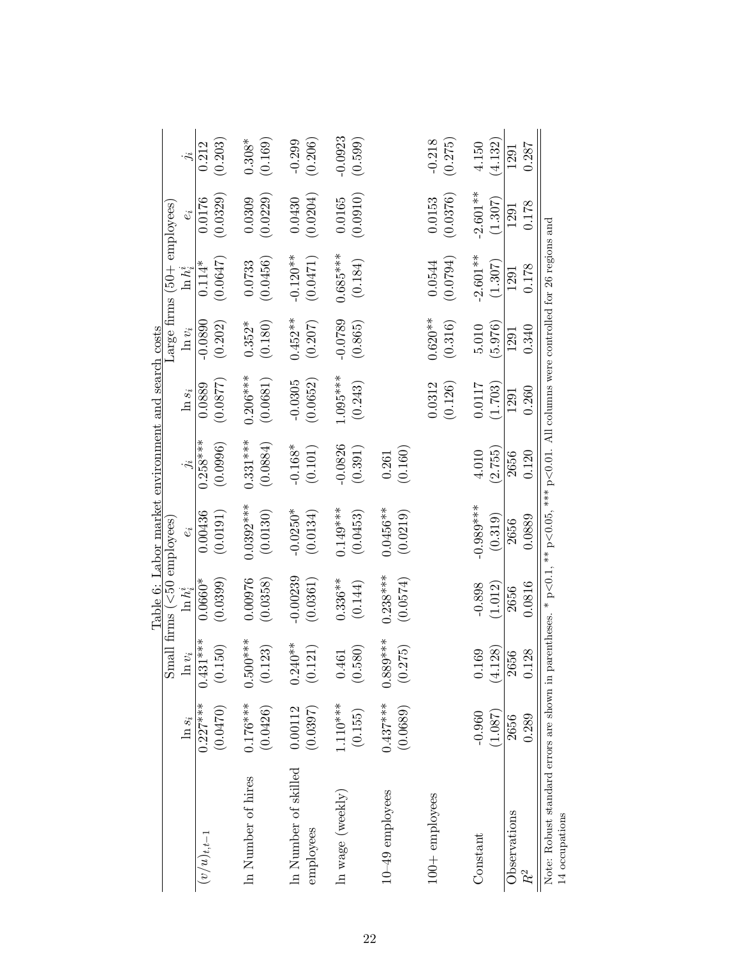|                                                                     |                        |                                               |                                                  | Table 6: Labor market environment and search costs                                                         |                        |                        |                       |                                         |                       |                      |
|---------------------------------------------------------------------|------------------------|-----------------------------------------------|--------------------------------------------------|------------------------------------------------------------------------------------------------------------|------------------------|------------------------|-----------------------|-----------------------------------------|-----------------------|----------------------|
|                                                                     | $\ln s_i$              | Smal<br>$n v_i$                               | $\text{frames}$ ( $<50$ employees<br>$\ln h_i^i$ | $e_i$                                                                                                      |                        | $\ln s_i$              | $\ln v_i$             | Large firms (50+ employees<br>$\ln h^n$ |                       |                      |
| $(v/u)_{t,t-1}$                                                     | $0.227***$<br>(0.0470) | $0.431***$<br>(0.150)                         | $0.0660*$<br>(0.0399)                            | 0.00436<br>(0.0191)                                                                                        | $0.258***$<br>(0.0996) | (0.0877)<br>0.0889     | $-0.0890$<br>(0.202)  | (0.0647)<br>$0.114*$                    | (0.0329)<br>0.0176    | (0.203)<br>0.212     |
| In Number of hires                                                  | $0.176***$<br>(0.0426) | $0.500***$<br>(0.123)                         | 0.00976<br>(0.0358)                              | $0.0392***$<br>(0.0130)                                                                                    | $0.331***$<br>(0.0884) | $0.206***$<br>(0.0681) | (0.180)<br>$0.352*$   | (0.0456)<br>0.0733                      | (0.0229)<br>0.0309    | (0.169)<br>$0.308*$  |
| In Number of skilled<br>employees                                   | 0.00112<br>(0.0397)    | $0.240**$<br>(0.121)                          | $-0.00239$<br>(0.0361)                           | $-0.0250*$<br>(0.0134)                                                                                     | $-0.168*$<br>(0.101)   | $-0.0305$<br>(0.0652)  | $0.452***$<br>(0.207) | $-0.120**$<br>(0.0471)                  | (0.0204)<br>0.0430    | (0.206)<br>$-0.299$  |
| In wage $(\text{weekly})$                                           | $1.110***$<br>(0.155)  | 580)<br>461<br>$\dot{\circ}$<br>$\dot{\circ}$ | $0.336**$<br>(0.144)                             | $0.149***$<br>(0.0453)                                                                                     | $-0.0826$<br>(0.391)   | $1.095***$<br>(0.243)  | $-0.0789$<br>(0.865)  | $0.685***$<br>(0.184)                   | (0.0910)<br>0.0165    | $-0.0923$<br>(0.599) |
| $10-49$ employees                                                   | $0.437***$<br>(0.0689) | $0.889***$<br>(0.275)                         | $0.238***$<br>(0.0574)                           | $0.0456**$<br>(0.0219)                                                                                     | (0.160)<br>0.261       |                        |                       |                                         |                       |                      |
| $100 +$ employees                                                   |                        |                                               |                                                  |                                                                                                            |                        | 0.0312<br>(0.126)      | $0.620**$<br>(0.316)  | (0.0794)<br>0.0544                      | (0.0376)<br>0.0153    | $-0.218$<br>(0.275)  |
| Constant                                                            | (1.087)<br>$-0.960$    | .128)<br>169<br>Ą.                            | $-0.898$<br>(1.012)                              | $-0.989***$<br>(0.319)                                                                                     | (2.755)<br>4.010       | 0.0117<br>(1.703)      | (5.976)<br>5.010      | $-2.601**$<br>(1.307)                   | $-2.601**$<br>(1.307) | (4.132)<br>4.150     |
| Observations<br>$R^2$                                               | 0.289<br>2656          | 0.128<br>2656                                 | 0.0816<br>2656                                   | 0.0889<br>2656                                                                                             | 0.120<br>2656          | 0.260<br>1291          | 0.340<br>1291         | 0.178<br>1291                           | 0.178<br>1291         | 0.287<br>1291        |
| Note: Robust standard errors are shown in $\vert$<br>14 occupations |                        |                                               |                                                  | parentheses. * $p < 0.1$ , ** $p < 0.05$ , *** $p < 0.01$ . All columns were controlled for 26 regions and |                        |                        |                       |                                         |                       |                      |

22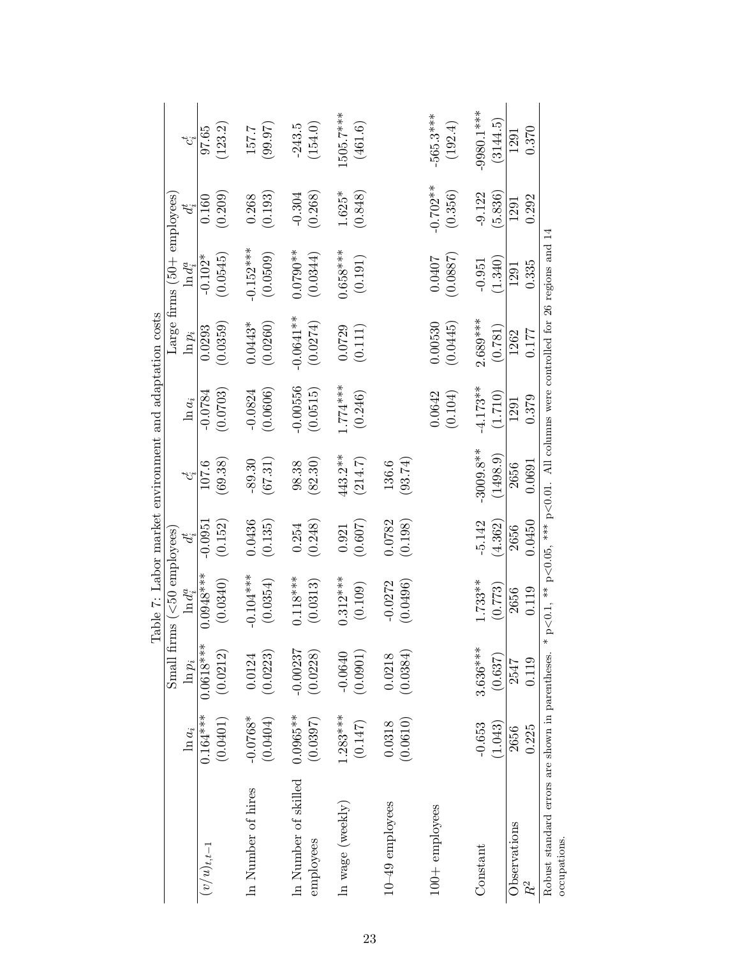|                                                  |             |             | Table 7: Labor market environment and adaptation costs                                     |           |             |            |             |                                      |            |              |
|--------------------------------------------------|-------------|-------------|--------------------------------------------------------------------------------------------|-----------|-------------|------------|-------------|--------------------------------------|------------|--------------|
|                                                  |             | Small firms | $($ <50 employees)                                                                         |           |             |            |             | Large firms $(50 + \text{employee})$ |            |              |
|                                                  | $\ln a_i$   | $\ln p_i$   | $\ln d_i^a$                                                                                | $d_i$     | $c^t$       | $\ln a_i$  | $\ln p_i$   | $\ln d^a_i$                          |            | تع           |
| $(v/u)_{t,t-1}$                                  | $0.164***$  | $0.0618***$ | $0.0948***$                                                                                | $-0.0951$ | 107.6       | $-0.0784$  | 0.0293      | $-0.102*$                            | 0.160      | 97.65        |
|                                                  | (0.0401)    | (0.0212)    | (0.0340)                                                                                   | (0.152)   | (69.38)     | (0.0703)   | (0.0359)    | (0.0545)                             | (0.209)    | (123.2)      |
| In Number of hires                               | $-0.0768*$  | 0.0124      | $-0.104***$                                                                                | 0.0436    | $-89.30$    | $-0.0824$  | $0.0443*$   | $-0.152***$                          | 0.268      | 157.7        |
|                                                  | (0.0404)    | (0.0223)    | (0.0354)                                                                                   | (0.135)   | (67.31)     | (0.0606)   | (0.0260)    | (0.0509)                             | (0.193)    | (99.97)      |
| In Number of skilled                             | $0.0965***$ | $-0.00237$  | $0.118***$                                                                                 | 0.254     | 98.38       | $-0.00556$ | $-0.0641**$ | $0.0790**$                           | $-0.304$   | $-243.5$     |
| employees                                        | (0.0397)    | (0.0228)    | (0.0313)                                                                                   | (0.248)   | (82.30)     | (0.0515)   | (0.0274)    | (0.0344)                             | (0.268)    | (154.0)      |
| In wage (weekly)                                 | $1.283***$  | $-0.0640$   | $0.312***$                                                                                 | 0.921     | 443.2**     | $4***$     | 0.0729      | $0.658***$                           | $1.625*$   | 1505.7***    |
|                                                  | (0.147)     | (0.0901)    | (0.109)                                                                                    | (0.607)   | (214.7)     | (0.246)    | (0.111)     | (0.191)                              | (0.848)    | (461.6)      |
| $10 - 49$ employees                              | 0.0318      | 0.0218      | $-0.0272$                                                                                  | 0.0782    | 136.6       |            |             |                                      |            |              |
|                                                  | (0.0610)    | (0.0384)    | (0.0496)                                                                                   | (0.198)   | (93.74)     |            |             |                                      |            |              |
| 100+ employees                                   |             |             |                                                                                            |           |             | 0.0642     | 0.00530     | 0.0407                               | $-0.702**$ | 565.3***     |
|                                                  |             |             |                                                                                            |           |             | (0.104)    | (0.0445)    | (0.0887)                             | (0.356)    | (192.4)      |
| Constant                                         | $-0.653$    | $3.636***$  | $1.733**$                                                                                  | $-5.142$  | $-3009.8**$ | $4.173**$  | $2.689***$  | $-0.951$                             | $-9.122$   | $-9980.1***$ |
|                                                  | (1.043)     | (0.637)     | (0.773)                                                                                    | (4.362)   | (1498.9)    | (1.710)    | (0.781)     | 1.340                                | 5.836      | (3144.5)     |
| Observations                                     | 2656        | 2547        | 2656                                                                                       | 2656      | 2656        | 1291       | 1262        | 1291                                 | 1291       | 1291         |
| $R^2$                                            | 0.225       | 0.119       | 0.119                                                                                      | 0.0450    | 0.0691      | 0.379      | 0.177       | 0.335                                | 0.292      | 0.370        |
| Robust standard errors are shown in parentheses. |             |             | * $p<0.1$ , ** $p<0.05$ , *** $p<0.01$ . All columns were controlled for 26 regions and 14 |           |             |            |             |                                      |            |              |
| occupations.                                     |             |             |                                                                                            |           |             |            |             |                                      |            |              |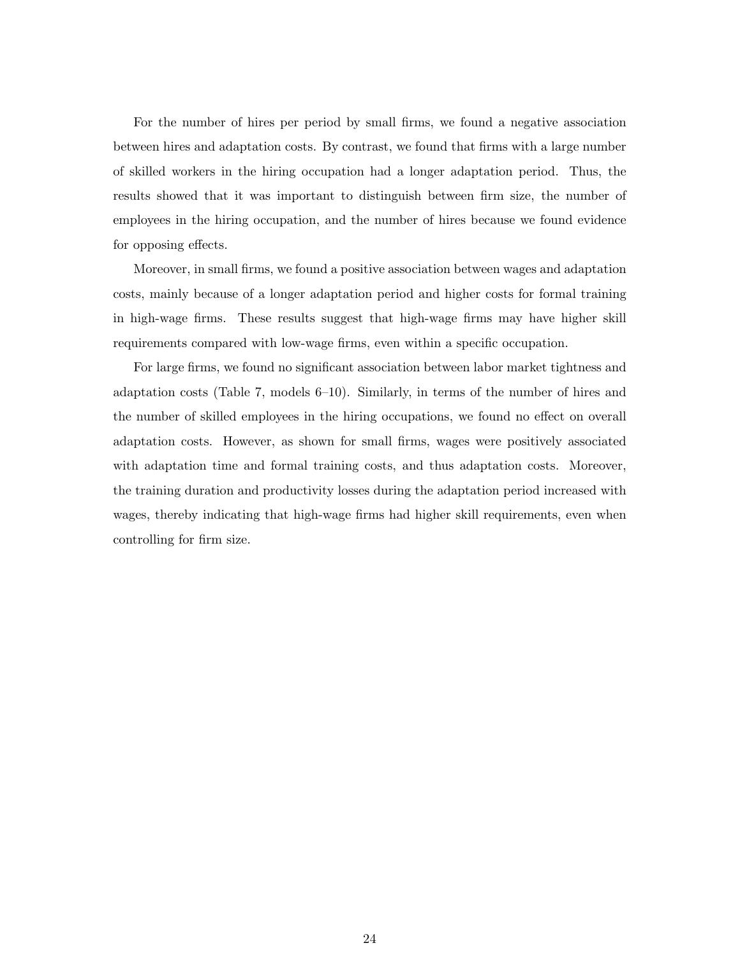For the number of hires per period by small firms, we found a negative association between hires and adaptation costs. By contrast, we found that firms with a large number of skilled workers in the hiring occupation had a longer adaptation period. Thus, the results showed that it was important to distinguish between firm size, the number of employees in the hiring occupation, and the number of hires because we found evidence for opposing effects.

Moreover, in small firms, we found a positive association between wages and adaptation costs, mainly because of a longer adaptation period and higher costs for formal training in high-wage firms. These results suggest that high-wage firms may have higher skill requirements compared with low-wage firms, even within a specific occupation.

For large firms, we found no significant association between labor market tightness and adaptation costs (Table 7, models 6–10). Similarly, in terms of the number of hires and the number of skilled employees in the hiring occupations, we found no effect on overall adaptation costs. However, as shown for small firms, wages were positively associated with adaptation time and formal training costs, and thus adaptation costs. Moreover, the training duration and productivity losses during the adaptation period increased with wages, thereby indicating that high-wage firms had higher skill requirements, even when controlling for firm size.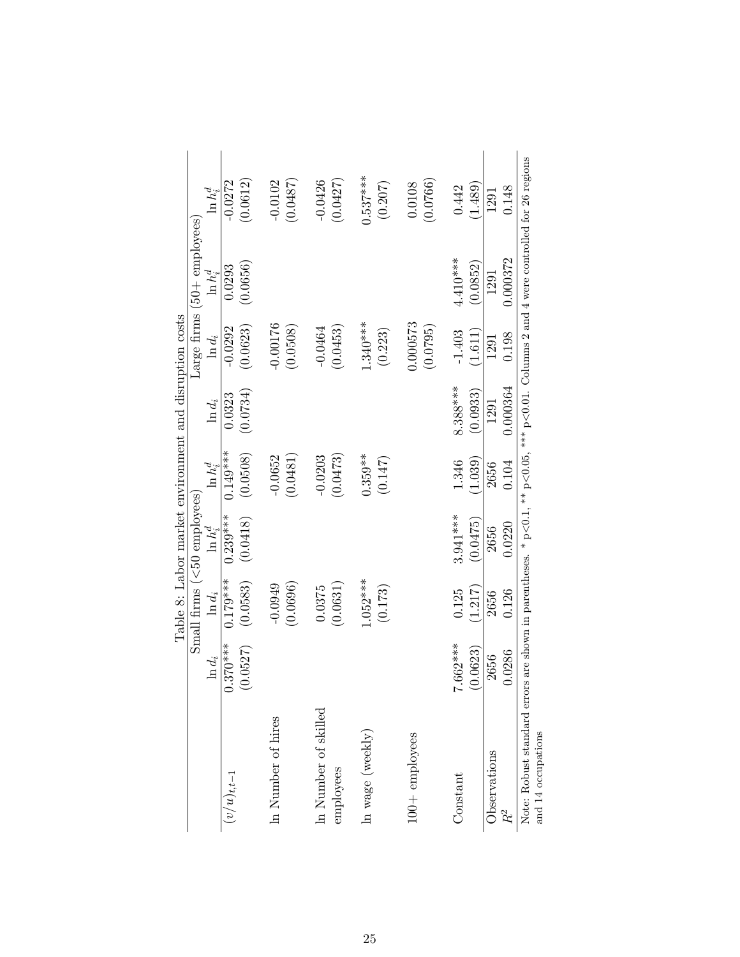|                        |            |            | Small firms $(50$ employees |             |            |            | Large firms (50+ employees) |            |
|------------------------|------------|------------|-----------------------------|-------------|------------|------------|-----------------------------|------------|
|                        | $\ln d_i$  | $\ln d_i$  | $\ln h_c^d$                 | $\ln h_c^d$ | $\ln d_i$  | $\ln d_i$  | $\ln h^d_i$                 | $\ln h^d$  |
| $(v/u)_{t,t-1}$        | $0.370***$ | $0.179***$ | $0.239***$                  | $0.149***$  | 0.0323     | $-0.0292$  | 0.0293                      | $-0.0272$  |
|                        | 0527       | (0.0583)   | (0.0418)                    | (0.0508)    | (0.0734)   | (0.0623)   | (0.0656)                    | (0.0612)   |
| In Number of hires     |            | $-0.0949$  |                             | $-0.0652$   |            | $-0.00176$ |                             | $-0.0102$  |
|                        |            | (0.0696)   |                             | (0.0481)    |            | (0.0508)   |                             | (0.0487)   |
| In Number of skilled   |            | 0.0375     |                             | $-0.0203$   |            | $-0.0464$  |                             | $-0.0426$  |
| employees              |            | (0.0631)   |                             | (0.0473)    |            | (0.0453)   |                             | (0.0427)   |
| In wage $($ weekl $y)$ |            | $1.052***$ |                             | $0.359**$   |            | $1.340***$ |                             | $0.537***$ |
|                        |            | (0.173)    |                             | (0.147)     |            | (0.223)    |                             | (0.207)    |
| $100+$ employees       |            |            |                             |             |            | 1.000573   |                             | 0.0108     |
|                        |            |            |                             |             |            | (0.0795)   |                             | (0.0766)   |
| Constant               | 7.662***   | 0.125      | $3.941***$                  | 1.346       | $8.388***$ | $-1.403$   | $4.410***$                  | 0.442      |
|                        | (0.0623)   | (1.217)    | (0.0475)                    | (1.039)     | (0.0933)   | (1.611)    | (0.0852)                    | (1.489)    |
| Observations           | 2656       | 2656       | 2656                        | 2656        | 1291       | 1291       | 1291                        | 1291       |
| $R^2$                  | 1.0286     | 0.126      | 0.0220                      | 0.104       | 0.000364   | 0.198      | 0.000372                    | 0.148      |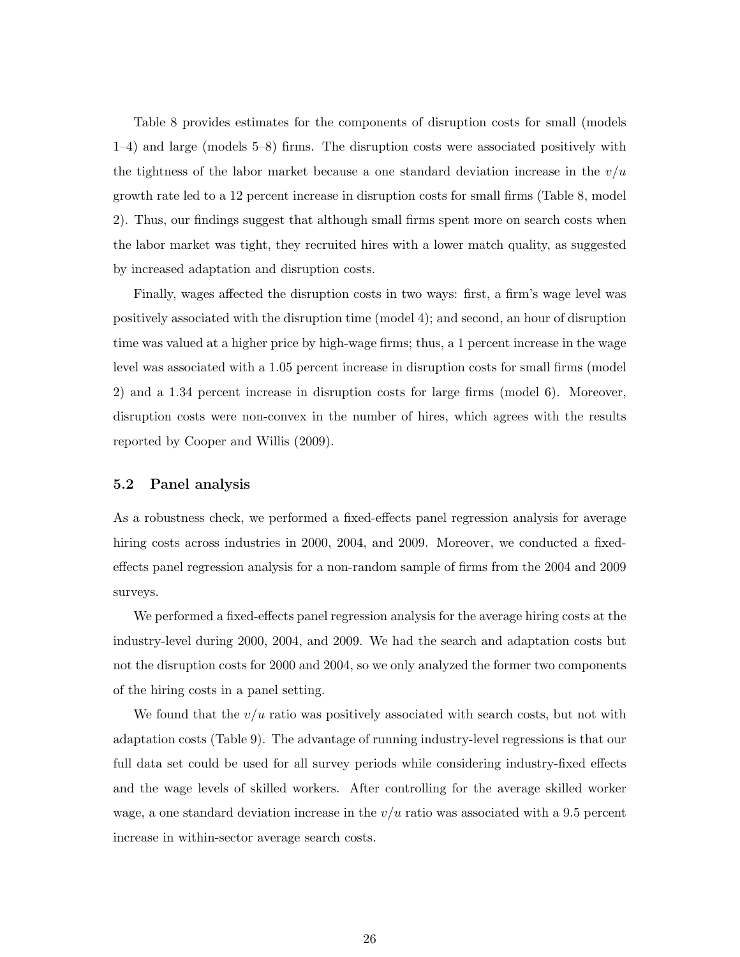Table 8 provides estimates for the components of disruption costs for small (models 1–4) and large (models 5–8) firms. The disruption costs were associated positively with the tightness of the labor market because a one standard deviation increase in the *v/u* growth rate led to a 12 percent increase in disruption costs for small firms (Table 8, model 2). Thus, our findings suggest that although small firms spent more on search costs when the labor market was tight, they recruited hires with a lower match quality, as suggested by increased adaptation and disruption costs.

Finally, wages affected the disruption costs in two ways: first, a firm's wage level was positively associated with the disruption time (model 4); and second, an hour of disruption time was valued at a higher price by high-wage firms; thus, a 1 percent increase in the wage level was associated with a 1.05 percent increase in disruption costs for small firms (model 2) and a 1.34 percent increase in disruption costs for large firms (model 6). Moreover, disruption costs were non-convex in the number of hires, which agrees with the results reported by Cooper and Willis (2009).

#### **5.2 Panel analysis**

As a robustness check, we performed a fixed-effects panel regression analysis for average hiring costs across industries in 2000, 2004, and 2009. Moreover, we conducted a fixedeffects panel regression analysis for a non-random sample of firms from the 2004 and 2009 surveys.

We performed a fixed-effects panel regression analysis for the average hiring costs at the industry-level during 2000, 2004, and 2009. We had the search and adaptation costs but not the disruption costs for 2000 and 2004, so we only analyzed the former two components of the hiring costs in a panel setting.

We found that the  $v/u$  ratio was positively associated with search costs, but not with adaptation costs (Table 9). The advantage of running industry-level regressions is that our full data set could be used for all survey periods while considering industry-fixed effects and the wage levels of skilled workers. After controlling for the average skilled worker wage, a one standard deviation increase in the *v/u* ratio was associated with a 9.5 percent increase in within-sector average search costs.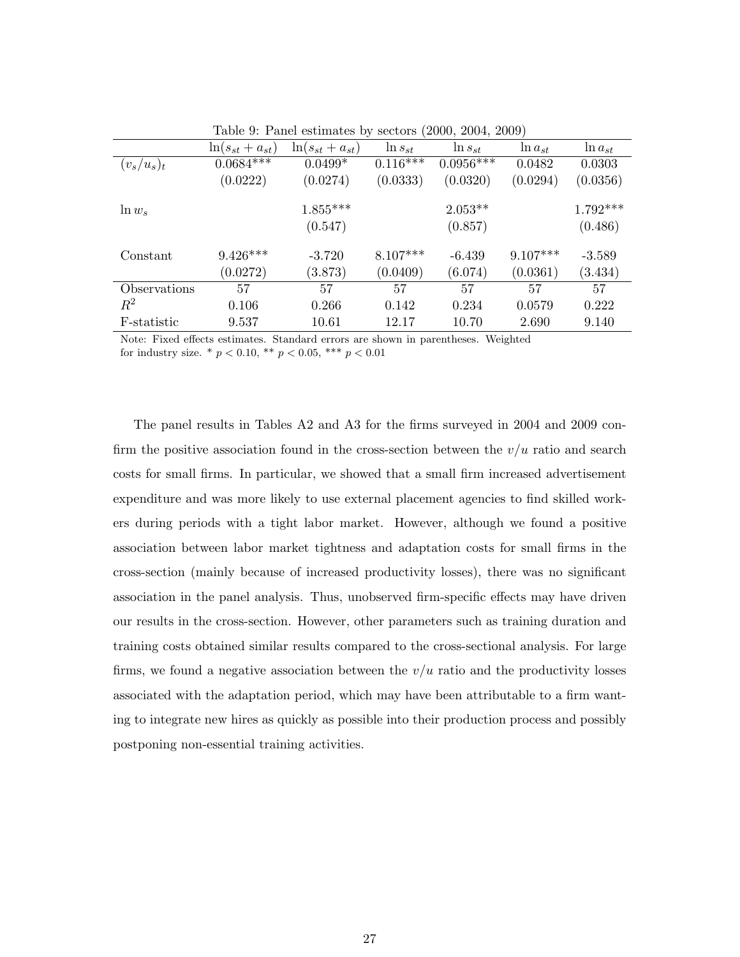|               | $\ln(s_{st}+a_{st})$ | $\ln(s_{st}+a_{st})$ | $\ln s_{st}$ | $\ln s_{st}$ | $\ln a_{st}$ | $\ln a_{st}$ |
|---------------|----------------------|----------------------|--------------|--------------|--------------|--------------|
| $(v_s/u_s)_t$ | $0.0684***$          | $0.0499*$            | $0.116***$   | $0.0956***$  | 0.0482       | 0.0303       |
|               | (0.0222)             | (0.0274)             | (0.0333)     | (0.0320)     | (0.0294)     | (0.0356)     |
| $\ln w_s$     |                      | $1.855***$           |              | $2.053**$    |              | $1.792***$   |
|               |                      | (0.547)              |              | (0.857)      |              | (0.486)      |
| Constant      | $9.426***$           | $-3.720$             | $8.107***$   | $-6.439$     | $9.107***$   | $-3.589$     |
|               | (0.0272)             | (3.873)              | (0.0409)     | (6.074)      | (0.0361)     | (3.434)      |
| Observations  | 57                   | 57                   | 57           | 57           | 57           | 57           |
| $R^2$         | 0.106                | 0.266                | 0.142        | 0.234        | 0.0579       | 0.222        |
| F-statistic   | 9.537                | 10.61                | 12.17        | 10.70        | 2.690        | 9.140        |

Table 9: Panel estimates by sectors (2000, 2004, 2009)

Note: Fixed effects estimates. Standard errors are shown in parentheses. Weighted for industry size.  $*$   $p < 0.10$ ,  $**$   $p < 0.05$ ,  $***$   $p < 0.01$ 

The panel results in Tables A2 and A3 for the firms surveyed in 2004 and 2009 confirm the positive association found in the cross-section between the *v/u* ratio and search costs for small firms. In particular, we showed that a small firm increased advertisement expenditure and was more likely to use external placement agencies to find skilled workers during periods with a tight labor market. However, although we found a positive association between labor market tightness and adaptation costs for small firms in the cross-section (mainly because of increased productivity losses), there was no significant association in the panel analysis. Thus, unobserved firm-specific effects may have driven our results in the cross-section. However, other parameters such as training duration and training costs obtained similar results compared to the cross-sectional analysis. For large firms, we found a negative association between the  $v/u$  ratio and the productivity losses associated with the adaptation period, which may have been attributable to a firm wanting to integrate new hires as quickly as possible into their production process and possibly postponing non-essential training activities.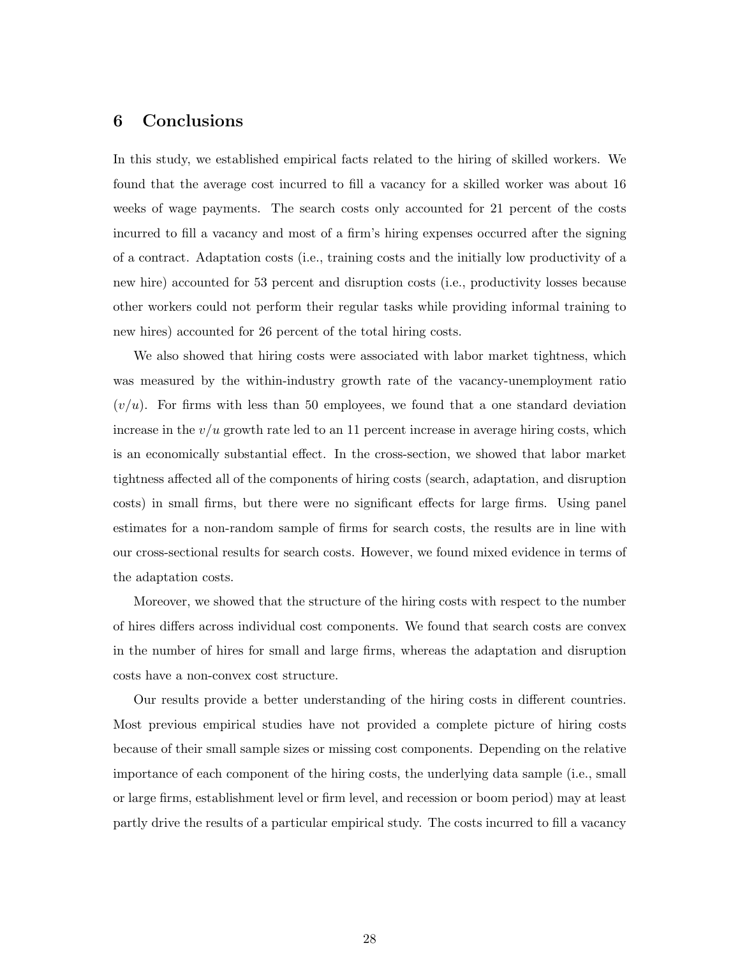## **6 Conclusions**

In this study, we established empirical facts related to the hiring of skilled workers. We found that the average cost incurred to fill a vacancy for a skilled worker was about 16 weeks of wage payments. The search costs only accounted for 21 percent of the costs incurred to fill a vacancy and most of a firm's hiring expenses occurred after the signing of a contract. Adaptation costs (i.e., training costs and the initially low productivity of a new hire) accounted for 53 percent and disruption costs (i.e., productivity losses because other workers could not perform their regular tasks while providing informal training to new hires) accounted for 26 percent of the total hiring costs.

We also showed that hiring costs were associated with labor market tightness, which was measured by the within-industry growth rate of the vacancy-unemployment ratio  $(v/u)$ . For firms with less than 50 employees, we found that a one standard deviation increase in the  $v/u$  growth rate led to an 11 percent increase in average hiring costs, which is an economically substantial effect. In the cross-section, we showed that labor market tightness affected all of the components of hiring costs (search, adaptation, and disruption costs) in small firms, but there were no significant effects for large firms. Using panel estimates for a non-random sample of firms for search costs, the results are in line with our cross-sectional results for search costs. However, we found mixed evidence in terms of the adaptation costs.

Moreover, we showed that the structure of the hiring costs with respect to the number of hires differs across individual cost components. We found that search costs are convex in the number of hires for small and large firms, whereas the adaptation and disruption costs have a non-convex cost structure.

Our results provide a better understanding of the hiring costs in different countries. Most previous empirical studies have not provided a complete picture of hiring costs because of their small sample sizes or missing cost components. Depending on the relative importance of each component of the hiring costs, the underlying data sample (i.e., small or large firms, establishment level or firm level, and recession or boom period) may at least partly drive the results of a particular empirical study. The costs incurred to fill a vacancy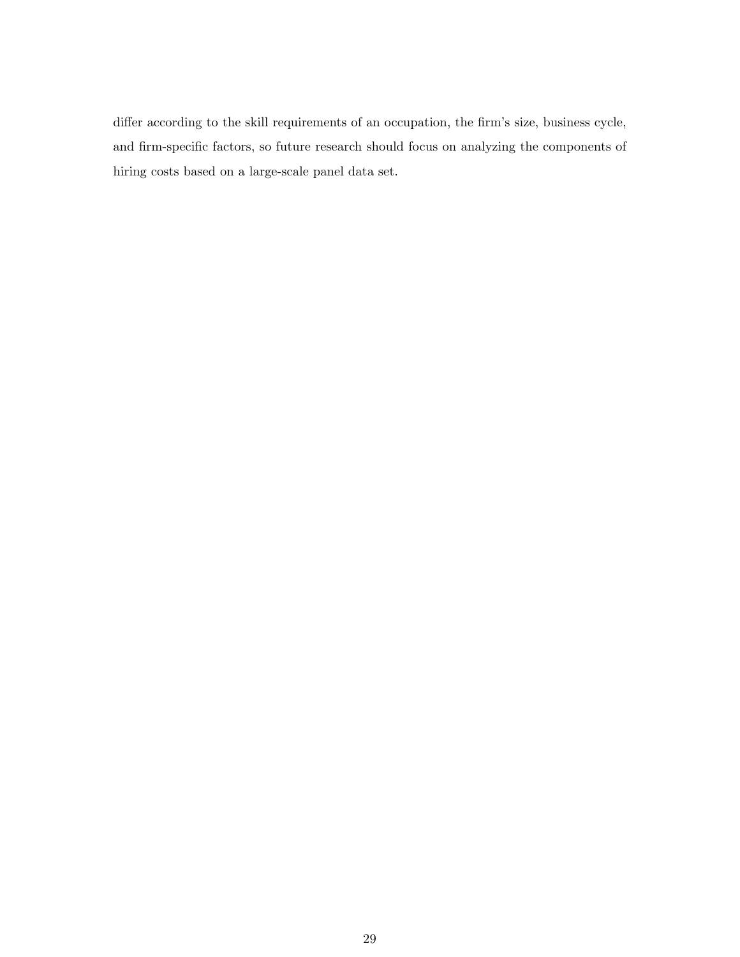differ according to the skill requirements of an occupation, the firm's size, business cycle, and firm-specific factors, so future research should focus on analyzing the components of hiring costs based on a large-scale panel data set.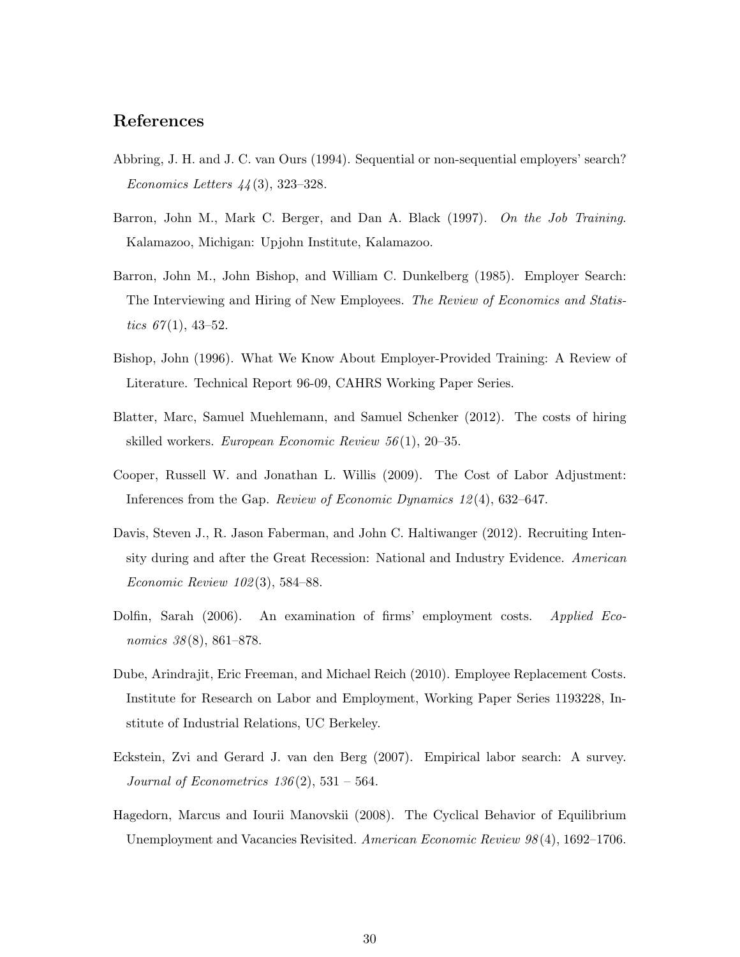## **References**

- Abbring, J. H. and J. C. van Ours (1994). Sequential or non-sequential employers' search? *Economics Letters 44* (3), 323–328.
- Barron, John M., Mark C. Berger, and Dan A. Black (1997). *On the Job Training*. Kalamazoo, Michigan: Upjohn Institute, Kalamazoo.
- Barron, John M., John Bishop, and William C. Dunkelberg (1985). Employer Search: The Interviewing and Hiring of New Employees. *The Review of Economics and Statistics*  $67(1)$ , 43–52.
- Bishop, John (1996). What We Know About Employer-Provided Training: A Review of Literature. Technical Report 96-09, CAHRS Working Paper Series.
- Blatter, Marc, Samuel Muehlemann, and Samuel Schenker (2012). The costs of hiring skilled workers. *European Economic Review 56* (1), 20–35.
- Cooper, Russell W. and Jonathan L. Willis (2009). The Cost of Labor Adjustment: Inferences from the Gap. *Review of Economic Dynamics 12* (4), 632–647.
- Davis, Steven J., R. Jason Faberman, and John C. Haltiwanger (2012). Recruiting Intensity during and after the Great Recession: National and Industry Evidence. *American Economic Review 102* (3), 584–88.
- Dolfin, Sarah (2006). An examination of firms' employment costs. *Applied Economics 38* (8), 861–878.
- Dube, Arindrajit, Eric Freeman, and Michael Reich (2010). Employee Replacement Costs. Institute for Research on Labor and Employment, Working Paper Series 1193228, Institute of Industrial Relations, UC Berkeley.
- Eckstein, Zvi and Gerard J. van den Berg (2007). Empirical labor search: A survey. *Journal of Econometrics 136* (2), 531 – 564.
- Hagedorn, Marcus and Iourii Manovskii (2008). The Cyclical Behavior of Equilibrium Unemployment and Vacancies Revisited. *American Economic Review 98* (4), 1692–1706.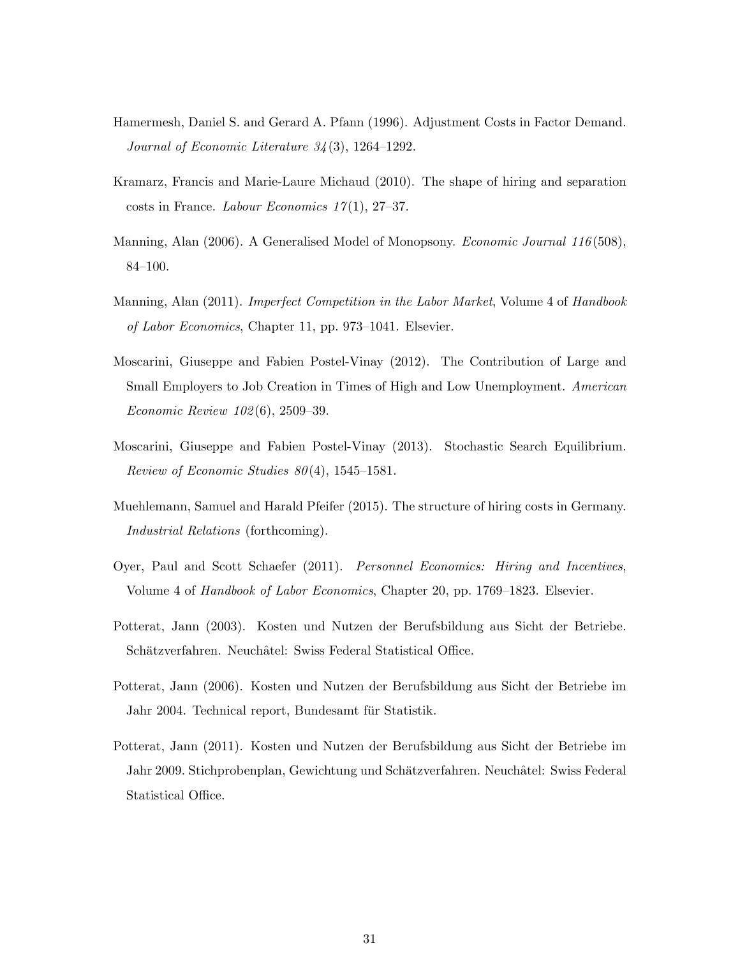- Hamermesh, Daniel S. and Gerard A. Pfann (1996). Adjustment Costs in Factor Demand. *Journal of Economic Literature 34* (3), 1264–1292.
- Kramarz, Francis and Marie-Laure Michaud (2010). The shape of hiring and separation costs in France. *Labour Economics 17* (1), 27–37.
- Manning, Alan (2006). A Generalised Model of Monopsony. *Economic Journal 116* (508), 84–100.
- Manning, Alan (2011). *Imperfect Competition in the Labor Market*, Volume 4 of *Handbook of Labor Economics*, Chapter 11, pp. 973–1041. Elsevier.
- Moscarini, Giuseppe and Fabien Postel-Vinay (2012). The Contribution of Large and Small Employers to Job Creation in Times of High and Low Unemployment. *American Economic Review 102* (6), 2509–39.
- Moscarini, Giuseppe and Fabien Postel-Vinay (2013). Stochastic Search Equilibrium. *Review of Economic Studies 80* (4), 1545–1581.
- Muehlemann, Samuel and Harald Pfeifer (2015). The structure of hiring costs in Germany. *Industrial Relations* (forthcoming).
- Oyer, Paul and Scott Schaefer (2011). *Personnel Economics: Hiring and Incentives*, Volume 4 of *Handbook of Labor Economics*, Chapter 20, pp. 1769–1823. Elsevier.
- Potterat, Jann (2003). Kosten und Nutzen der Berufsbildung aus Sicht der Betriebe. Schätzverfahren. Neuchâtel: Swiss Federal Statistical Office.
- Potterat, Jann (2006). Kosten und Nutzen der Berufsbildung aus Sicht der Betriebe im Jahr 2004. Technical report, Bundesamt für Statistik.
- Potterat, Jann (2011). Kosten und Nutzen der Berufsbildung aus Sicht der Betriebe im Jahr 2009. Stichprobenplan, Gewichtung und Schätzverfahren. Neuchâtel: Swiss Federal Statistical Office.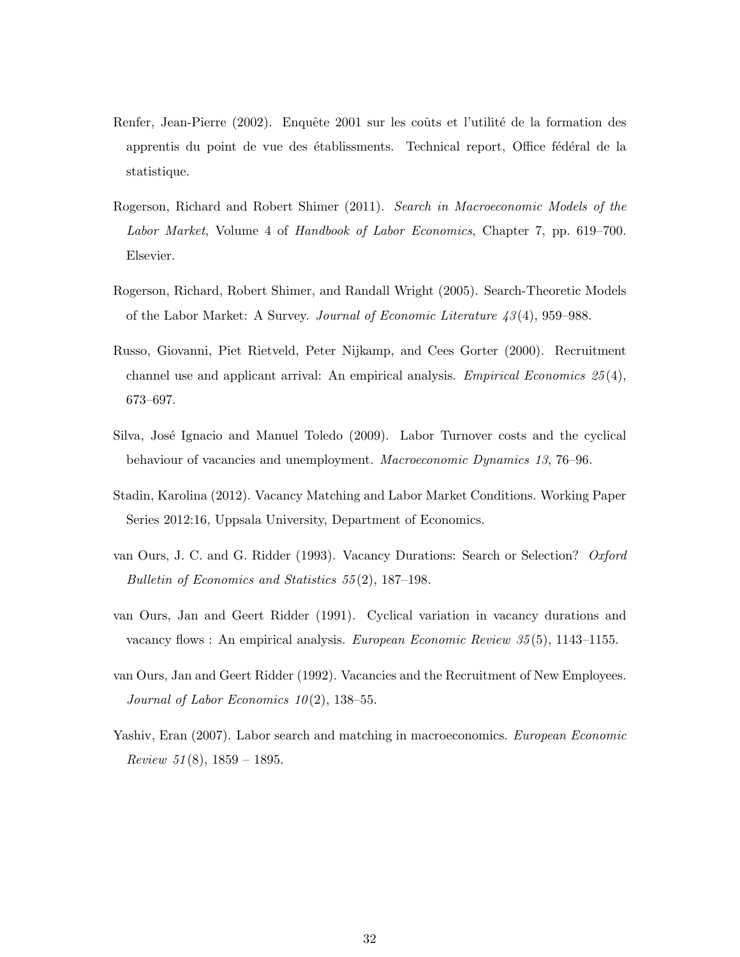- Renfer, Jean-Pierre (2002). Enquête 2001 sur les coûts et l'utilité de la formation des apprentis du point de vue des établissments. Technical report, Office fédéral de la statistique.
- Rogerson, Richard and Robert Shimer (2011). *Search in Macroeconomic Models of the Labor Market*, Volume 4 of *Handbook of Labor Economics*, Chapter 7, pp. 619–700. Elsevier.
- Rogerson, Richard, Robert Shimer, and Randall Wright (2005). Search-Theoretic Models of the Labor Market: A Survey. *Journal of Economic Literature 43* (4), 959–988.
- Russo, Giovanni, Piet Rietveld, Peter Nijkamp, and Cees Gorter (2000). Recruitment channel use and applicant arrival: An empirical analysis. *Empirical Economics 25* (4), 673–697.
- Silva, José Ignacio and Manuel Toledo (2009). Labor Turnover costs and the cyclical behaviour of vacancies and unemployment. *Macroeconomic Dynamics 13*, 76–96.
- Stadin, Karolina (2012). Vacancy Matching and Labor Market Conditions. Working Paper Series 2012:16, Uppsala University, Department of Economics.
- van Ours, J. C. and G. Ridder (1993). Vacancy Durations: Search or Selection? *Oxford Bulletin of Economics and Statistics 55* (2), 187–198.
- van Ours, Jan and Geert Ridder (1991). Cyclical variation in vacancy durations and vacancy flows : An empirical analysis. *European Economic Review 35* (5), 1143–1155.
- van Ours, Jan and Geert Ridder (1992). Vacancies and the Recruitment of New Employees. *Journal of Labor Economics 10* (2), 138–55.
- Yashiv, Eran (2007). Labor search and matching in macroeconomics. *European Economic Review 51* (8), 1859 – 1895.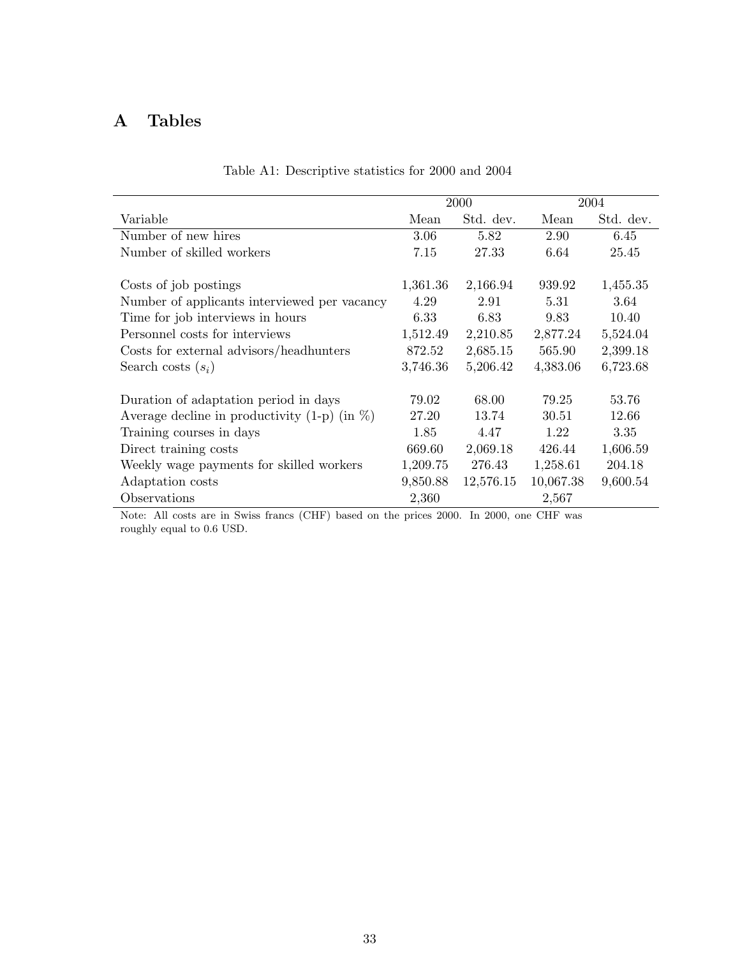## **A Tables**

|                                                     |          | 2000      |           | 2004      |
|-----------------------------------------------------|----------|-----------|-----------|-----------|
| Variable                                            | Mean     | Std. dev. | Mean      | Std. dev. |
| Number of new hires                                 | 3.06     | 5.82      | 2.90      | 6.45      |
| Number of skilled workers                           | 7.15     | 27.33     | 6.64      | 25.45     |
|                                                     |          |           |           |           |
| Costs of job postings                               | 1,361.36 | 2,166.94  | 939.92    | 1,455.35  |
| Number of applicants interviewed per vacancy        | 4.29     | 2.91      | 5.31      | 3.64      |
| Time for job interviews in hours                    | 6.33     | 6.83      | 9.83      | 10.40     |
| Personnel costs for interviews                      | 1,512.49 | 2,210.85  | 2,877.24  | 5,524.04  |
| Costs for external advisors/headhunters             | 872.52   | 2,685.15  | 565.90    | 2,399.18  |
| Search costs $(s_i)$                                | 3,746.36 | 5,206.42  | 4,383.06  | 6,723.68  |
| Duration of adaptation period in days               | 79.02    | 68.00     | 79.25     | 53.76     |
| Average decline in productivity $(1-p)$ (in $\%)$ ) | 27.20    | 13.74     | 30.51     | 12.66     |
| Training courses in days                            | 1.85     | 4.47      | 1.22      | 3.35      |
| Direct training costs                               | 669.60   | 2,069.18  | 426.44    | 1,606.59  |
| Weekly wage payments for skilled workers            | 1,209.75 | 276.43    | 1,258.61  | 204.18    |
| Adaptation costs                                    | 9,850.88 | 12,576.15 | 10,067.38 | 9,600.54  |
| Observations                                        | 2,360    |           | 2,567     |           |

## Table A1: Descriptive statistics for 2000 and 2004

Note: All costs are in Swiss francs (CHF) based on the prices 2000. In 2000, one CHF was roughly equal to 0.6 USD.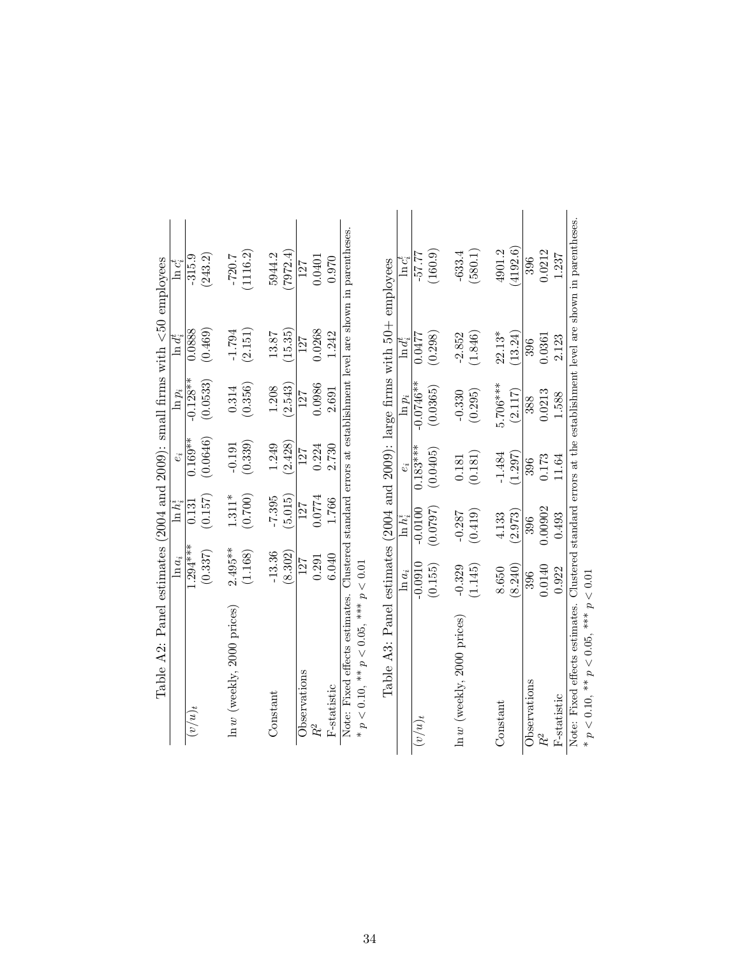| Table A2: Panel estimates (2004 and 2009): small firms with $\lt 50$ employees                                                                          |            |             |            |             |                                                                 |             |
|---------------------------------------------------------------------------------------------------------------------------------------------------------|------------|-------------|------------|-------------|-----------------------------------------------------------------|-------------|
|                                                                                                                                                         | $\ln a_i$  | $\ln h_i^i$ | $e_i$      | $ln p_i$    | $\ln d^t_i$                                                     | $\ln c_i^t$ |
| $(u/u)_t$                                                                                                                                               | $1.294***$ | 0.131       | $0.169**$  | $-0.128**$  | 0.0888                                                          | $-315.9$    |
|                                                                                                                                                         | (0.337)    | (0.157)     | (0.0646)   | (0.0533)    | (0.469)                                                         | (243.2)     |
| $\ln w$ (weekly, 2000 prices)                                                                                                                           | $2.495***$ | $1.311*$    | $-0.191$   | 0.314       | $-1.794$                                                        | $-720.7$    |
|                                                                                                                                                         | (1.168)    | (0.700)     | (0.339)    | (0.356)     | (2.151)                                                         | (1116.2)    |
| Constant                                                                                                                                                | $-13.36$   | $-7.395$    | 1.249      | 1.208       | 13.87                                                           | 5944.2      |
|                                                                                                                                                         | (8.302)    | (5.015)     | (2.428)    | (2.543)     | (15.35)                                                         | 7972.4      |
| Observations                                                                                                                                            | 127        | 127         | 127        | 127         | 127                                                             | 127         |
| $R^2$                                                                                                                                                   | 0.291      | 0.0774      | 0.224      | 0.0986      | 0.0268                                                          | 0.0401      |
| F-statistic                                                                                                                                             | 6.040      | 1.766       | 2.730      | 2.691       | 1.242                                                           | 0.970       |
| Table A3:                                                                                                                                               |            |             |            |             | Panel estimates (2004 and 2009): large firms with 50+ employees |             |
|                                                                                                                                                         | $\ln a_i$  | $\ln h_i^i$ | $e_i$      | $ln p_i$    | $\ln d_i^t$                                                     | $\ln c_i^t$ |
| $(u/u)_t$                                                                                                                                               | $-0.0910$  | $-0.0100$   | $0.183***$ | $-0.0746**$ | 0.0477                                                          | $-57.77$    |
|                                                                                                                                                         | (0.155)    | (7670.0)    | (0.0405)   | (0.0365)    | (0.298)                                                         | (160.9)     |
| $\ln w$ (weekly, 2000 prices)                                                                                                                           | $-0.329$   | $-0.287$    | 0.181      | $-0.330$    | $-2.852$                                                        | $-633.4$    |
|                                                                                                                                                         | (1.145)    | (0.419)     | (0.181)    | (0.295)     | (1.846)                                                         | (580.1)     |
| Constant                                                                                                                                                | 8.650      | 4.133       | $-1.484$   | $5.706***$  | $22.13*$                                                        | 4901.2      |
|                                                                                                                                                         | (8.240)    | (2.973)     | (1.297)    | (2.117)     | (13.24)                                                         | 4192.6      |
| Observations                                                                                                                                            | 396        | 396         | 396        | 388         | 396                                                             | 396         |
| $R^2$                                                                                                                                                   | 0.0140     | 0.00902     | 0.173      | 0.0213      | 0.0361                                                          | 0.0212      |
| F-statistic                                                                                                                                             | 0.922      | 0.493       | 11.64      | 1.588       | 2.123                                                           | 1.237       |
| Note: Fixed effects estimates. Clustered standard errors at the establishment level are shown in parentheses.<br>* $p < 0.10$ , ** $p < 0.05$ , *** $p$ | < 0.01     |             |            |             |                                                                 |             |
|                                                                                                                                                         |            |             |            |             |                                                                 |             |